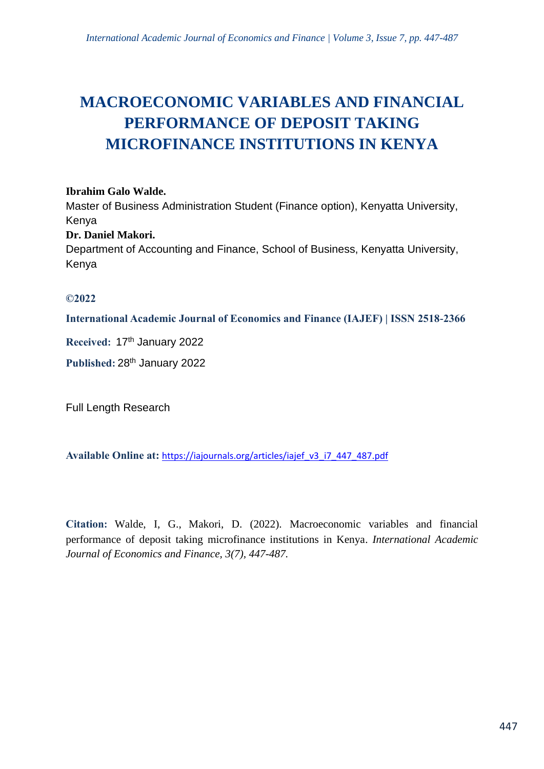# **MACROECONOMIC VARIABLES AND FINANCIAL PERFORMANCE OF DEPOSIT TAKING MICROFINANCE INSTITUTIONS IN KENYA**

#### **Ibrahim Galo Walde.**

Master of Business Administration Student (Finance option), Kenyatta University, Kenya

## **Dr. Daniel Makori.**

Department of Accounting and Finance, School of Business, Kenyatta University, Kenya

## **©2022**

**International Academic Journal of Economics and Finance (IAJEF) | ISSN 2518-2366**

**Received:** 17 th January 2022

Published: 28<sup>th</sup> January 2022

Full Length Research

**Available Online at:** [https://iajournals.org/articles/iajef\\_v3\\_i7\\_447\\_487.pdf](https://iajournals.org/articles/iajef_v3_i7_447_487.pdf)

**Citation:** Walde, I, G., Makori, D. (2022). Macroeconomic variables and financial performance of deposit taking microfinance institutions in Kenya. *International Academic Journal of Economics and Finance, 3(7), 447-487.*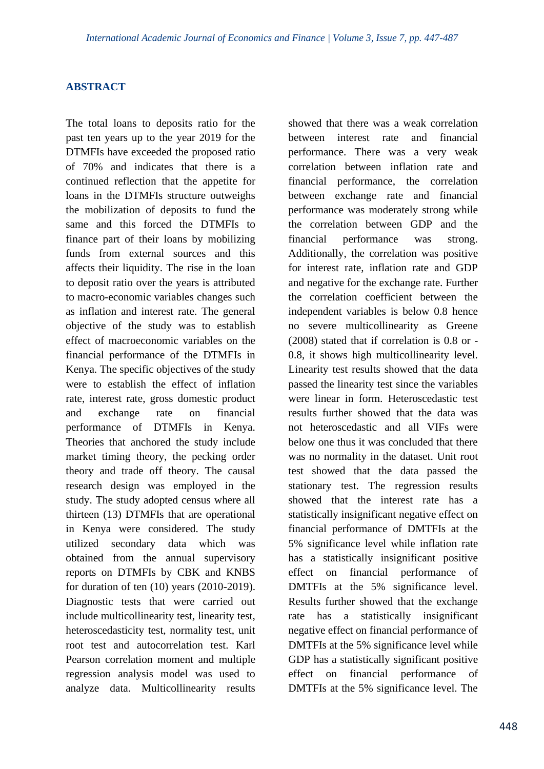## **ABSTRACT**

The total loans to deposits ratio for the past ten years up to the year 2019 for the DTMFIs have exceeded the proposed ratio of 70% and indicates that there is a continued reflection that the appetite for loans in the DTMFIs structure outweighs the mobilization of deposits to fund the same and this forced the DTMFIs to finance part of their loans by mobilizing funds from external sources and this affects their liquidity. The rise in the loan to deposit ratio over the years is attributed to macro-economic variables changes such as inflation and interest rate. The general objective of the study was to establish effect of macroeconomic variables on the financial performance of the DTMFIs in Kenya. The specific objectives of the study were to establish the effect of inflation rate, interest rate, gross domestic product and exchange rate on financial performance of DTMFIs in Kenya. Theories that anchored the study include market timing theory, the pecking order theory and trade off theory. The causal research design was employed in the study. The study adopted census where all thirteen (13) DTMFIs that are operational in Kenya were considered. The study utilized secondary data which was obtained from the annual supervisory reports on DTMFIs by CBK and KNBS for duration of ten (10) years (2010-2019). Diagnostic tests that were carried out include multicollinearity test, linearity test, heteroscedasticity test, normality test, unit root test and autocorrelation test. Karl Pearson correlation moment and multiple regression analysis model was used to analyze data. Multicollinearity results

showed that there was a weak correlation between interest rate and financial performance. There was a very weak correlation between inflation rate and financial performance, the correlation between exchange rate and financial performance was moderately strong while the correlation between GDP and the financial performance was strong. Additionally, the correlation was positive for interest rate, inflation rate and GDP and negative for the exchange rate. Further the correlation coefficient between the independent variables is below 0.8 hence no severe multicollinearity as Greene (2008) stated that if correlation is 0.8 or - 0.8, it shows high multicollinearity level. Linearity test results showed that the data passed the linearity test since the variables were linear in form. Heteroscedastic test results further showed that the data was not heteroscedastic and all VIFs were below one thus it was concluded that there was no normality in the dataset. Unit root test showed that the data passed the stationary test. The regression results showed that the interest rate has a statistically insignificant negative effect on financial performance of DMTFIs at the 5% significance level while inflation rate has a statistically insignificant positive effect on financial performance of DMTFIs at the 5% significance level. Results further showed that the exchange rate has a statistically insignificant negative effect on financial performance of DMTFIs at the 5% significance level while GDP has a statistically significant positive effect on financial performance of DMTFIs at the 5% significance level. The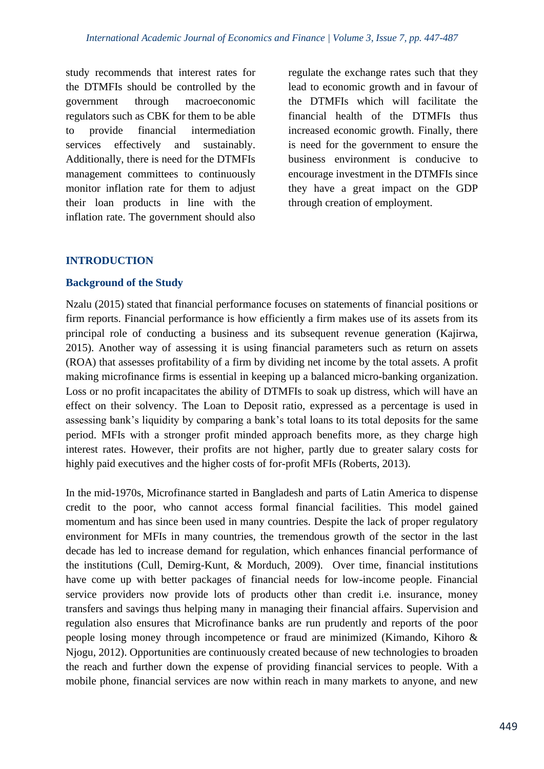study recommends that interest rates for the DTMFIs should be controlled by the government through macroeconomic regulators such as CBK for them to be able to provide financial intermediation services effectively and sustainably. Additionally, there is need for the DTMFIs management committees to continuously monitor inflation rate for them to adjust their loan products in line with the inflation rate. The government should also

regulate the exchange rates such that they lead to economic growth and in favour of the DTMFIs which will facilitate the financial health of the DTMFIs thus increased economic growth. Finally, there is need for the government to ensure the business environment is conducive to encourage investment in the DTMFIs since they have a great impact on the GDP through creation of employment.

# **INTRODUCTION**

#### **Background of the Study**

Nzalu (2015) stated that financial performance focuses on statements of financial positions or firm reports. Financial performance is how efficiently a firm makes use of its assets from its principal role of conducting a business and its subsequent revenue generation (Kajirwa, 2015). Another way of assessing it is using financial parameters such as return on assets (ROA) that assesses profitability of a firm by dividing net income by the total assets. A profit making microfinance firms is essential in keeping up a balanced micro-banking organization. Loss or no profit incapacitates the ability of DTMFIs to soak up distress, which will have an effect on their solvency. The Loan to Deposit ratio, expressed as a percentage is used in assessing bank's liquidity by comparing a bank's total loans to its total deposits for the same period. MFIs with a stronger profit minded approach benefits more, as they charge high interest rates. However, their profits are not higher, partly due to greater salary costs for highly paid executives and the higher costs of for-profit MFIs (Roberts, 2013).

In the mid-1970s, Microfinance started in Bangladesh and parts of Latin America to dispense credit to the poor, who cannot access formal financial facilities. This model gained momentum and has since been used in many countries. Despite the lack of proper regulatory environment for MFIs in many countries, the tremendous growth of the sector in the last decade has led to increase demand for regulation, which enhances financial performance of the institutions (Cull, Demirg-Kunt, & Morduch, 2009). Over time, financial institutions have come up with better packages of financial needs for low-income people. Financial service providers now provide lots of products other than credit i.e. insurance, money transfers and savings thus helping many in managing their financial affairs. Supervision and regulation also ensures that Microfinance banks are run prudently and reports of the poor people losing money through incompetence or fraud are minimized (Kimando, Kihoro & Njogu, 2012). Opportunities are continuously created because of new technologies to broaden the reach and further down the expense of providing financial services to people. With a mobile phone, financial services are now within reach in many markets to anyone, and new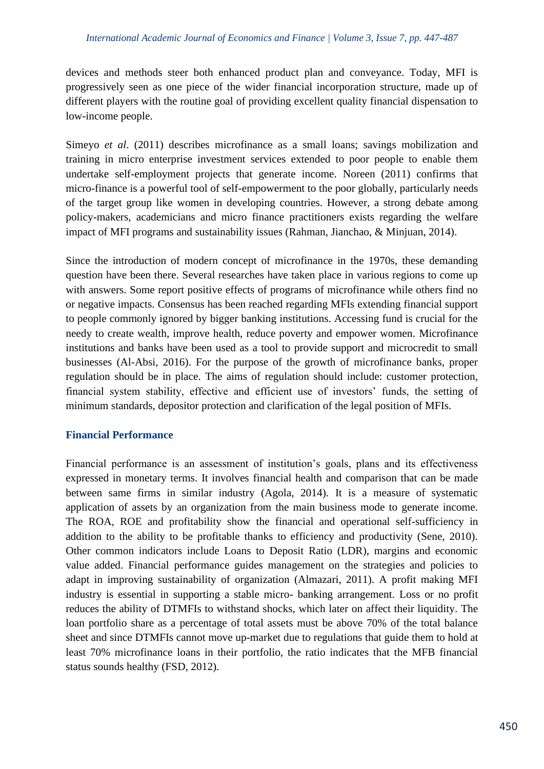devices and methods steer both enhanced product plan and conveyance. Today, MFI is progressively seen as one piece of the wider financial incorporation structure, made up of different players with the routine goal of providing excellent quality financial dispensation to low-income people.

Simeyo *et al.* (2011) describes microfinance as a small loans; savings mobilization and training in micro enterprise investment services extended to poor people to enable them undertake self-employment projects that generate income. Noreen (2011) confirms that micro-finance is a powerful tool of self-empowerment to the poor globally, particularly needs of the target group like women in developing countries. However, a strong debate among policy-makers, academicians and micro finance practitioners exists regarding the welfare impact of MFI programs and sustainability issues (Rahman, Jianchao, & Minjuan, 2014).

Since the introduction of modern concept of microfinance in the 1970s, these demanding question have been there. Several researches have taken place in various regions to come up with answers. Some report positive effects of programs of microfinance while others find no or negative impacts. Consensus has been reached regarding MFIs extending financial support to people commonly ignored by bigger banking institutions. Accessing fund is crucial for the needy to create wealth, improve health, reduce poverty and empower women. Microfinance institutions and banks have been used as a tool to provide support and microcredit to small businesses (Al-Absi, 2016). For the purpose of the growth of microfinance banks, proper regulation should be in place. The aims of regulation should include: customer protection, financial system stability, effective and efficient use of investors' funds, the setting of minimum standards, depositor protection and clarification of the legal position of MFIs.

#### **Financial Performance**

Financial performance is an assessment of institution's goals, plans and its effectiveness expressed in monetary terms. It involves financial health and comparison that can be made between same firms in similar industry (Agola, 2014). It is a measure of systematic application of assets by an organization from the main business mode to generate income. The ROA, ROE and profitability show the financial and operational self-sufficiency in addition to the ability to be profitable thanks to efficiency and productivity (Sene, 2010). Other common indicators include Loans to Deposit Ratio (LDR), margins and economic value added. Financial performance guides management on the strategies and policies to adapt in improving sustainability of organization (Almazari, 2011). A profit making MFI industry is essential in supporting a stable micro- banking arrangement. Loss or no profit reduces the ability of DTMFIs to withstand shocks, which later on affect their liquidity. The loan portfolio share as a percentage of total assets must be above 70% of the total balance sheet and since DTMFIs cannot move up-market due to regulations that guide them to hold at least 70% microfinance loans in their portfolio, the ratio indicates that the MFB financial status sounds healthy (FSD, 2012).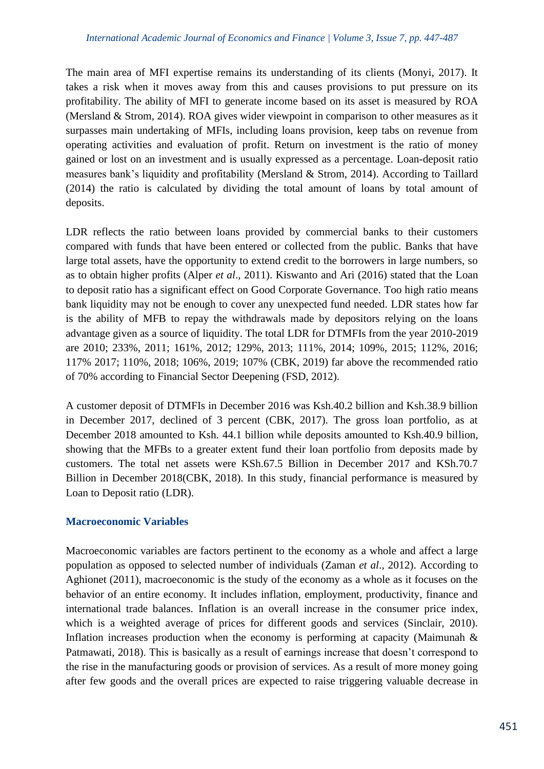The main area of MFI expertise remains its understanding of its clients (Monyi, 2017). It takes a risk when it moves away from this and causes provisions to put pressure on its profitability. The ability of MFI to generate income based on its asset is measured by ROA (Mersland & Strom, 2014). ROA gives wider viewpoint in comparison to other measures as it surpasses main undertaking of MFIs, including loans provision, keep tabs on revenue from operating activities and evaluation of profit. Return on investment is the ratio of money gained or lost on an investment and is usually expressed as a percentage. Loan-deposit ratio measures bank's liquidity and profitability (Mersland & Strom, 2014). According to Taillard (2014) the ratio is calculated by dividing the total amount of loans by total amount of deposits.

LDR reflects the ratio between loans provided by commercial banks to their customers compared with funds that have been entered or collected from the public. Banks that have large total assets, have the opportunity to extend credit to the borrowers in large numbers, so as to obtain higher profits (Alper *et al*., 2011). Kiswanto and Ari (2016) stated that the Loan to deposit ratio has a significant effect on Good Corporate Governance. Too high ratio means bank liquidity may not be enough to cover any unexpected fund needed. LDR states how far is the ability of MFB to repay the withdrawals made by depositors relying on the loans advantage given as a source of liquidity. The total LDR for DTMFIs from the year 2010-2019 are 2010; 233%, 2011; 161%, 2012; 129%, 2013; 111%, 2014; 109%, 2015; 112%, 2016; 117% 2017; 110%, 2018; 106%, 2019; 107% (CBK, 2019) far above the recommended ratio of 70% according to Financial Sector Deepening (FSD, 2012).

A customer deposit of DTMFIs in December 2016 was Ksh.40.2 billion and Ksh.38.9 billion in December 2017, declined of 3 percent (CBK, 2017). The gross loan portfolio, as at December 2018 amounted to Ksh. 44.1 billion while deposits amounted to Ksh.40.9 billion, showing that the MFBs to a greater extent fund their loan portfolio from deposits made by customers. The total net assets were KSh.67.5 Billion in December 2017 and KSh.70.7 Billion in December 2018(CBK, 2018). In this study, financial performance is measured by Loan to Deposit ratio (LDR).

# **Macroeconomic Variables**

Macroeconomic variables are factors pertinent to the economy as a whole and affect a large population as opposed to selected number of individuals (Zaman *et al*., 2012). According to Aghionet (2011), macroeconomic is the study of the economy as a whole as it focuses on the behavior of an entire economy. It includes inflation, employment, productivity, finance and international trade balances. Inflation is an overall increase in the consumer price index, which is a weighted average of prices for different goods and services (Sinclair, 2010). Inflation increases production when the economy is performing at capacity (Maimunah  $\&$ Patmawati, 2018). This is basically as a result of earnings increase that doesn't correspond to the rise in the manufacturing goods or provision of services. As a result of more money going after few goods and the overall prices are expected to raise triggering valuable decrease in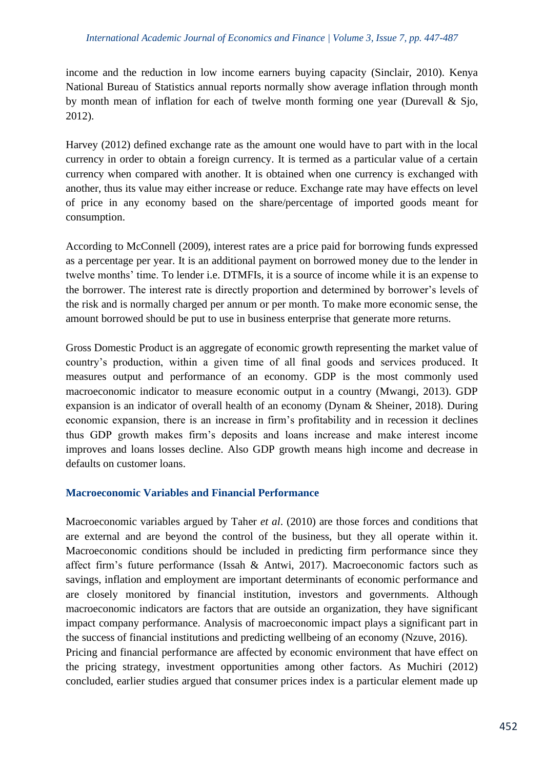income and the reduction in low income earners buying capacity (Sinclair, 2010). Kenya National Bureau of Statistics annual reports normally show average inflation through month by month mean of inflation for each of twelve month forming one year (Durevall & Sjo, 2012).

Harvey (2012) defined exchange rate as the amount one would have to part with in the local currency in order to obtain a foreign currency. It is termed as a particular value of a certain currency when compared with another. It is obtained when one currency is exchanged with another, thus its value may either increase or reduce. Exchange rate may have effects on level of price in any economy based on the share/percentage of imported goods meant for consumption.

According to McConnell (2009), interest rates are a price paid for borrowing funds expressed as a percentage per year. It is an additional payment on borrowed money due to the lender in twelve months' time. To lender i.e. DTMFIs, it is a source of income while it is an expense to the borrower. The interest rate is directly proportion and determined by borrower's levels of the risk and is normally charged per annum or per month. To make more economic sense, the amount borrowed should be put to use in business enterprise that generate more returns.

Gross Domestic Product is an aggregate of economic growth representing the market value of country's production, within a given time of all final goods and services produced. It measures output and performance of an economy. GDP is the most commonly used macroeconomic indicator to measure economic output in a country (Mwangi, 2013). GDP expansion is an indicator of overall health of an economy (Dynam & Sheiner, 2018). During economic expansion, there is an increase in firm's profitability and in recession it declines thus GDP growth makes firm's deposits and loans increase and make interest income improves and loans losses decline. Also GDP growth means high income and decrease in defaults on customer loans.

#### **Macroeconomic Variables and Financial Performance**

Macroeconomic variables argued by Taher *et al*. (2010) are those forces and conditions that are external and are beyond the control of the business, but they all operate within it. Macroeconomic conditions should be included in predicting firm performance since they affect firm's future performance (Issah & Antwi, 2017). Macroeconomic factors such as savings, inflation and employment are important determinants of economic performance and are closely monitored by financial institution, investors and governments. Although macroeconomic indicators are factors that are outside an organization, they have significant impact company performance. Analysis of macroeconomic impact plays a significant part in the success of financial institutions and predicting wellbeing of an economy (Nzuve, 2016).

Pricing and financial performance are affected by economic environment that have effect on the pricing strategy, investment opportunities among other factors. As Muchiri (2012) concluded, earlier studies argued that consumer prices index is a particular element made up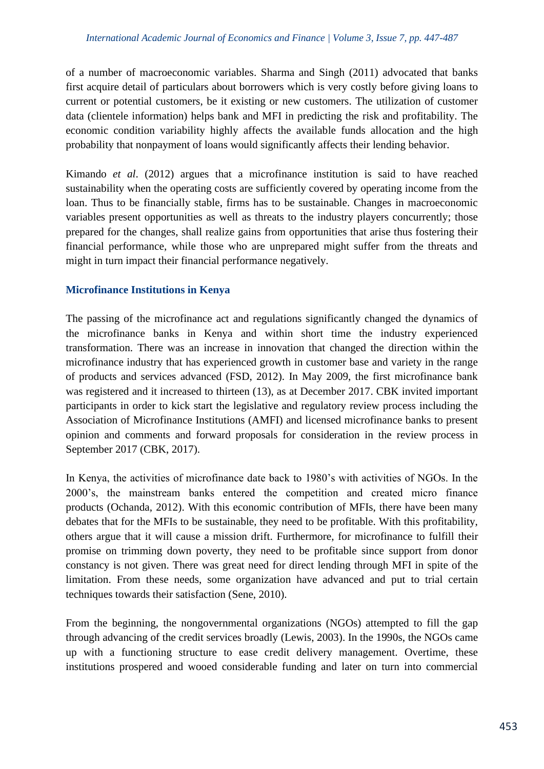of a number of macroeconomic variables. Sharma and Singh (2011) advocated that banks first acquire detail of particulars about borrowers which is very costly before giving loans to current or potential customers, be it existing or new customers. The utilization of customer data (clientele information) helps bank and MFI in predicting the risk and profitability. The economic condition variability highly affects the available funds allocation and the high probability that nonpayment of loans would significantly affects their lending behavior.

Kimando *et al*. (2012) argues that a microfinance institution is said to have reached sustainability when the operating costs are sufficiently covered by operating income from the loan. Thus to be financially stable, firms has to be sustainable. Changes in macroeconomic variables present opportunities as well as threats to the industry players concurrently; those prepared for the changes, shall realize gains from opportunities that arise thus fostering their financial performance, while those who are unprepared might suffer from the threats and might in turn impact their financial performance negatively.

## **Microfinance Institutions in Kenya**

The passing of the microfinance act and regulations significantly changed the dynamics of the microfinance banks in Kenya and within short time the industry experienced transformation. There was an increase in innovation that changed the direction within the microfinance industry that has experienced growth in customer base and variety in the range of products and services advanced (FSD, 2012). In May 2009, the first microfinance bank was registered and it increased to thirteen (13), as at December 2017. CBK invited important participants in order to kick start the legislative and regulatory review process including the Association of Microfinance Institutions (AMFI) and licensed microfinance banks to present opinion and comments and forward proposals for consideration in the review process in September 2017 (CBK, 2017).

In Kenya, the activities of microfinance date back to 1980's with activities of NGOs. In the 2000's, the mainstream banks entered the competition and created micro finance products (Ochanda, 2012). With this economic contribution of MFIs, there have been many debates that for the MFIs to be sustainable, they need to be profitable. With this profitability, others argue that it will cause a mission drift. Furthermore, for microfinance to fulfill their promise on trimming down poverty, they need to be profitable since support from donor constancy is not given. There was great need for direct lending through MFI in spite of the limitation. From these needs, some organization have advanced and put to trial certain techniques towards their satisfaction (Sene, 2010).

From the beginning, the nongovernmental organizations (NGOs) attempted to fill the gap through advancing of the credit services broadly (Lewis, 2003). In the 1990s, the NGOs came up with a functioning structure to ease credit delivery management. Overtime, these institutions prospered and wooed considerable funding and later on turn into commercial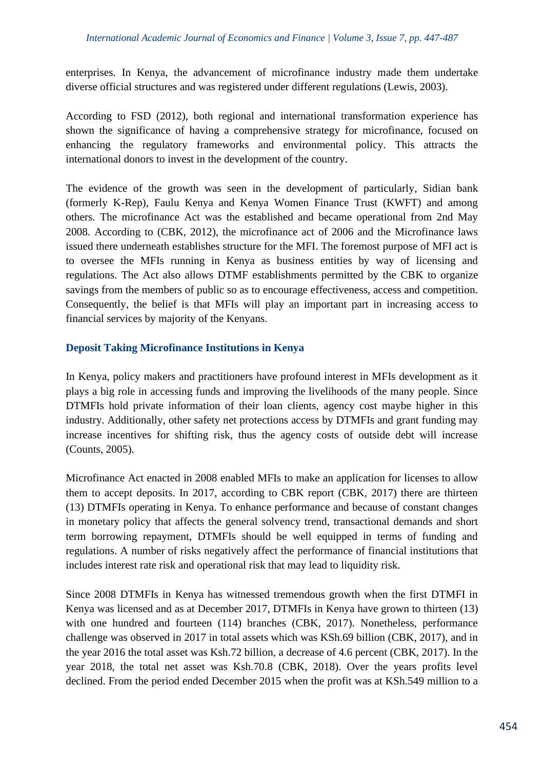enterprises. In Kenya, the advancement of microfinance industry made them undertake diverse official structures and was registered under different regulations (Lewis, 2003).

According to FSD (2012), both regional and international transformation experience has shown the significance of having a comprehensive strategy for microfinance, focused on enhancing the regulatory frameworks and environmental policy. This attracts the international donors to invest in the development of the country.

The evidence of the growth was seen in the development of particularly, Sidian bank (formerly K-Rep), Faulu Kenya and Kenya Women Finance Trust (KWFT) and among others. The microfinance Act was the established and became operational from 2nd May 2008. According to (CBK, 2012), the microfinance act of 2006 and the Microfinance laws issued there underneath establishes structure for the MFI. The foremost purpose of MFI act is to oversee the MFIs running in Kenya as business entities by way of licensing and regulations. The Act also allows DTMF establishments permitted by the CBK to organize savings from the members of public so as to encourage effectiveness, access and competition. Consequently, the belief is that MFIs will play an important part in increasing access to financial services by majority of the Kenyans.

## **Deposit Taking Microfinance Institutions in Kenya**

In Kenya, policy makers and practitioners have profound interest in MFIs development as it plays a big role in accessing funds and improving the livelihoods of the many people. Since DTMFIs hold private information of their loan clients, agency cost maybe higher in this industry. Additionally, other safety net protections access by DTMFIs and grant funding may increase incentives for shifting risk, thus the agency costs of outside debt will increase (Counts, 2005).

Microfinance Act enacted in 2008 enabled MFIs to make an application for licenses to allow them to accept deposits. In 2017, according to CBK report (CBK, 2017) there are thirteen (13) DTMFIs operating in Kenya. To enhance performance and because of constant changes in monetary policy that affects the general solvency trend, transactional demands and short term borrowing repayment, DTMFIs should be well equipped in terms of funding and regulations. A number of risks negatively affect the performance of financial institutions that includes interest rate risk and operational risk that may lead to liquidity risk.

Since 2008 DTMFIs in Kenya has witnessed tremendous growth when the first DTMFI in Kenya was licensed and as at December 2017, DTMFIs in Kenya have grown to thirteen (13) with one hundred and fourteen (114) branches (CBK, 2017). Nonetheless, performance challenge was observed in 2017 in total assets which was KSh.69 billion (CBK, 2017), and in the year 2016 the total asset was Ksh.72 billion, a decrease of 4.6 percent (CBK, 2017). In the year 2018, the total net asset was Ksh.70.8 (CBK, 2018). Over the years profits level declined. From the period ended December 2015 when the profit was at KSh.549 million to a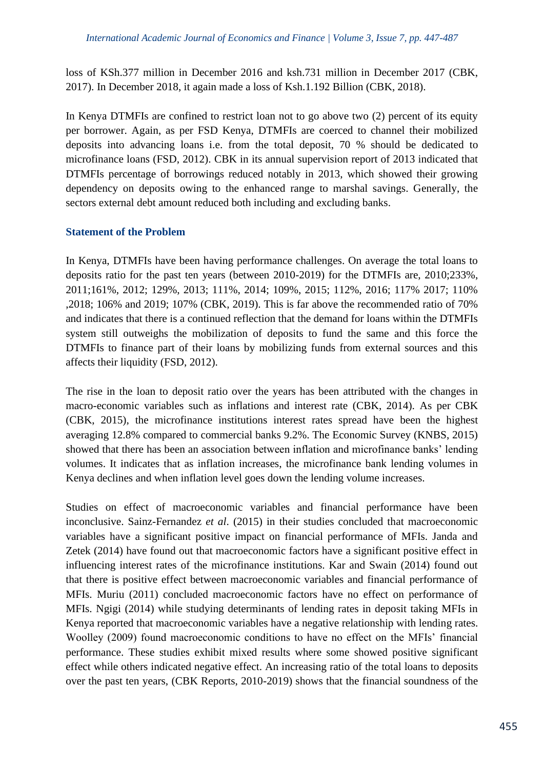loss of KSh.377 million in December 2016 and ksh.731 million in December 2017 (CBK, 2017). In December 2018, it again made a loss of Ksh.1.192 Billion (CBK, 2018).

In Kenya DTMFIs are confined to restrict loan not to go above two (2) percent of its equity per borrower. Again, as per FSD Kenya, DTMFIs are coerced to channel their mobilized deposits into advancing loans i.e. from the total deposit, 70 % should be dedicated to microfinance loans (FSD, 2012). CBK in its annual supervision report of 2013 indicated that DTMFIs percentage of borrowings reduced notably in 2013, which showed their growing dependency on deposits owing to the enhanced range to marshal savings. Generally, the sectors external debt amount reduced both including and excluding banks.

## **Statement of the Problem**

In Kenya, DTMFIs have been having performance challenges. On average the total loans to deposits ratio for the past ten years (between 2010-2019) for the DTMFIs are, 2010;233%, 2011;161%, 2012; 129%, 2013; 111%, 2014; 109%, 2015; 112%, 2016; 117% 2017; 110% ,2018; 106% and 2019; 107% (CBK, 2019). This is far above the recommended ratio of 70% and indicates that there is a continued reflection that the demand for loans within the DTMFIs system still outweighs the mobilization of deposits to fund the same and this force the DTMFIs to finance part of their loans by mobilizing funds from external sources and this affects their liquidity (FSD, 2012).

The rise in the loan to deposit ratio over the years has been attributed with the changes in macro-economic variables such as inflations and interest rate (CBK, 2014). As per CBK (CBK, 2015), the microfinance institutions interest rates spread have been the highest averaging 12.8% compared to commercial banks 9.2%. The Economic Survey (KNBS, 2015) showed that there has been an association between inflation and microfinance banks' lending volumes. It indicates that as inflation increases, the microfinance bank lending volumes in Kenya declines and when inflation level goes down the lending volume increases.

Studies on effect of macroeconomic variables and financial performance have been inconclusive. Sainz-Fernandez *et al*. (2015) in their studies concluded that macroeconomic variables have a significant positive impact on financial performance of MFIs. Janda and Zetek (2014) have found out that macroeconomic factors have a significant positive effect in influencing interest rates of the microfinance institutions. Kar and Swain (2014) found out that there is positive effect between macroeconomic variables and financial performance of MFIs. Muriu (2011) concluded macroeconomic factors have no effect on performance of MFIs. Ngigi (2014) while studying determinants of lending rates in deposit taking MFIs in Kenya reported that macroeconomic variables have a negative relationship with lending rates. Woolley (2009) found macroeconomic conditions to have no effect on the MFIs' financial performance. These studies exhibit mixed results where some showed positive significant effect while others indicated negative effect. An increasing ratio of the total loans to deposits over the past ten years, (CBK Reports, 2010-2019) shows that the financial soundness of the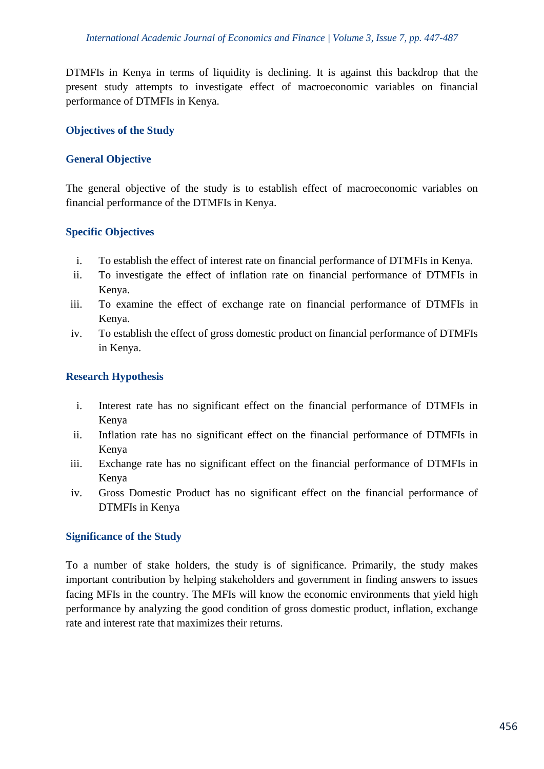DTMFIs in Kenya in terms of liquidity is declining. It is against this backdrop that the present study attempts to investigate effect of macroeconomic variables on financial performance of DTMFIs in Kenya.

## **Objectives of the Study**

# **General Objective**

The general objective of the study is to establish effect of macroeconomic variables on financial performance of the DTMFIs in Kenya.

## **Specific Objectives**

- i. To establish the effect of interest rate on financial performance of DTMFIs in Kenya.
- ii. To investigate the effect of inflation rate on financial performance of DTMFIs in Kenya.
- iii. To examine the effect of exchange rate on financial performance of DTMFIs in Kenya.
- iv. To establish the effect of gross domestic product on financial performance of DTMFIs in Kenya.

## **Research Hypothesis**

- i. Interest rate has no significant effect on the financial performance of DTMFIs in Kenya
- ii. Inflation rate has no significant effect on the financial performance of DTMFIs in Kenya
- iii. Exchange rate has no significant effect on the financial performance of DTMFIs in Kenya
- iv. Gross Domestic Product has no significant effect on the financial performance of DTMFIs in Kenya

#### **Significance of the Study**

To a number of stake holders, the study is of significance. Primarily, the study makes important contribution by helping stakeholders and government in finding answers to issues facing MFIs in the country. The MFIs will know the economic environments that yield high performance by analyzing the good condition of gross domestic product, inflation, exchange rate and interest rate that maximizes their returns.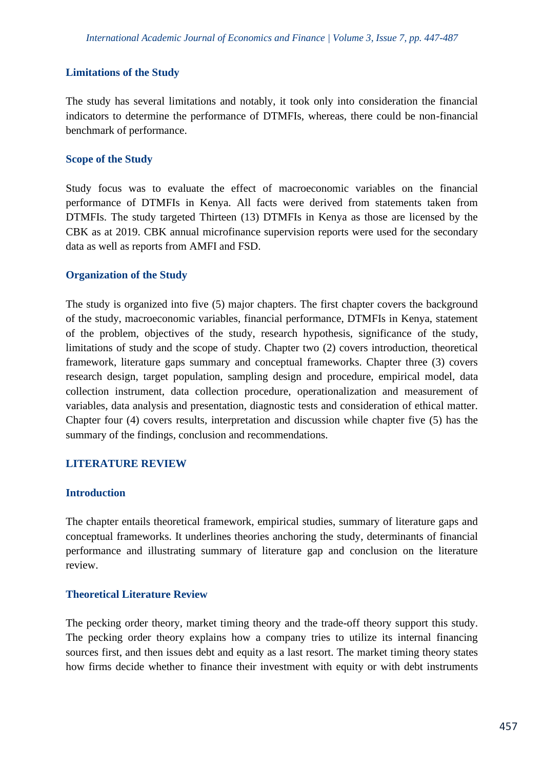#### **Limitations of the Study**

The study has several limitations and notably, it took only into consideration the financial indicators to determine the performance of DTMFIs, whereas, there could be non-financial benchmark of performance.

#### **Scope of the Study**

Study focus was to evaluate the effect of macroeconomic variables on the financial performance of DTMFIs in Kenya. All facts were derived from statements taken from DTMFIs. The study targeted Thirteen (13) DTMFIs in Kenya as those are licensed by the CBK as at 2019. CBK annual microfinance supervision reports were used for the secondary data as well as reports from AMFI and FSD.

#### **Organization of the Study**

The study is organized into five (5) major chapters. The first chapter covers the background of the study, macroeconomic variables, financial performance, DTMFIs in Kenya, statement of the problem, objectives of the study, research hypothesis, significance of the study, limitations of study and the scope of study. Chapter two (2) covers introduction, theoretical framework, literature gaps summary and conceptual frameworks. Chapter three (3) covers research design, target population, sampling design and procedure, empirical model, data collection instrument, data collection procedure, operationalization and measurement of variables, data analysis and presentation, diagnostic tests and consideration of ethical matter. Chapter four (4) covers results, interpretation and discussion while chapter five (5) has the summary of the findings, conclusion and recommendations.

#### **LITERATURE REVIEW**

#### **Introduction**

The chapter entails theoretical framework, empirical studies, summary of literature gaps and conceptual frameworks. It underlines theories anchoring the study, determinants of financial performance and illustrating summary of literature gap and conclusion on the literature review.

#### **Theoretical Literature Review**

The pecking order theory, market timing theory and the trade-off theory support this study. The pecking order theory explains how a company tries to utilize its internal financing sources first, and then issues debt and equity as a last resort. The market timing theory states how firms decide whether to finance their investment with equity or with debt instruments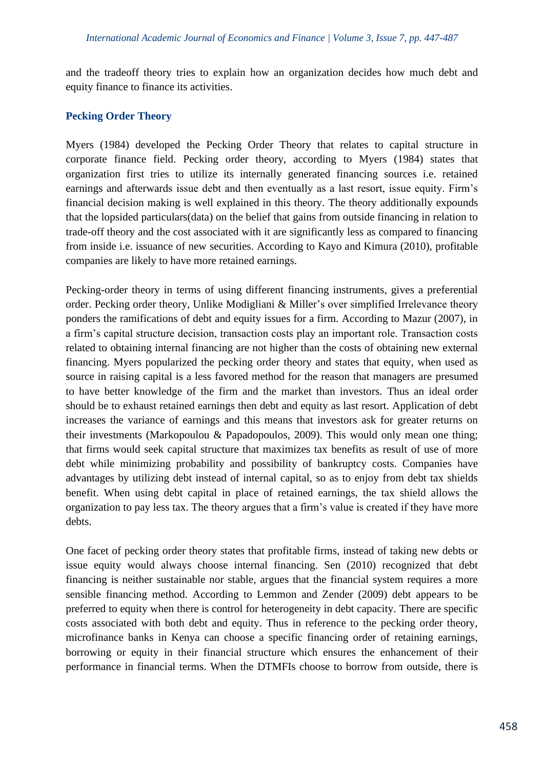and the tradeoff theory tries to explain how an organization decides how much debt and equity finance to finance its activities.

#### **Pecking Order Theory**

Myers (1984) developed the Pecking Order Theory that relates to capital structure in corporate finance field. Pecking order theory, according to Myers (1984) states that organization first tries to utilize its internally generated financing sources i.e. retained earnings and afterwards issue debt and then eventually as a last resort, issue equity. Firm's financial decision making is well explained in this theory. The theory additionally expounds that the lopsided particulars(data) on the belief that gains from outside financing in relation to trade-off theory and the cost associated with it are significantly less as compared to financing from inside i.e. issuance of new securities. According to Kayo and Kimura (2010), profitable companies are likely to have more retained earnings.

Pecking-order theory in terms of using different financing instruments, gives a preferential order. Pecking order theory, Unlike Modigliani & Miller's over simplified Irrelevance theory ponders the ramifications of debt and equity issues for a firm. According to Mazur (2007), in a firm's capital structure decision, transaction costs play an important role. Transaction costs related to obtaining internal financing are not higher than the costs of obtaining new external financing. Myers popularized the pecking order theory and states that equity, when used as source in raising capital is a less favored method for the reason that managers are presumed to have better knowledge of the firm and the market than investors. Thus an ideal order should be to exhaust retained earnings then debt and equity as last resort. Application of debt increases the variance of earnings and this means that investors ask for greater returns on their investments (Markopoulou & Papadopoulos, 2009). This would only mean one thing; that firms would seek capital structure that maximizes tax benefits as result of use of more debt while minimizing probability and possibility of bankruptcy costs. Companies have advantages by utilizing debt instead of internal capital, so as to enjoy from debt tax shields benefit. When using debt capital in place of retained earnings, the tax shield allows the organization to pay less tax. The theory argues that a firm's value is created if they have more debts.

One facet of pecking order theory states that profitable firms, instead of taking new debts or issue equity would always choose internal financing. Sen (2010) recognized that debt financing is neither sustainable nor stable, argues that the financial system requires a more sensible financing method. According to Lemmon and Zender (2009) debt appears to be preferred to equity when there is control for heterogeneity in debt capacity. There are specific costs associated with both debt and equity. Thus in reference to the pecking order theory, microfinance banks in Kenya can choose a specific financing order of retaining earnings, borrowing or equity in their financial structure which ensures the enhancement of their performance in financial terms. When the DTMFIs choose to borrow from outside, there is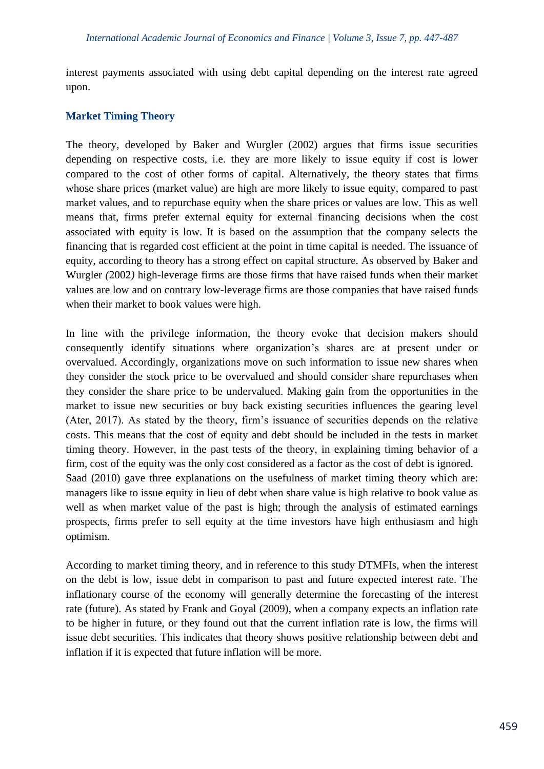interest payments associated with using debt capital depending on the interest rate agreed upon.

## **Market Timing Theory**

The theory, developed by Baker and Wurgler (2002) argues that firms issue securities depending on respective costs, i.e. they are more likely to issue equity if cost is lower compared to the cost of other forms of capital. Alternatively, the theory states that firms whose share prices (market value) are high are more likely to issue equity, compared to past market values, and to repurchase equity when the share prices or values are low. This as well means that, firms prefer external equity for external financing decisions when the cost associated with equity is low. It is based on the assumption that the company selects the financing that is regarded cost efficient at the point in time capital is needed. The issuance of equity, according to theory has a strong effect on capital structure. As observed by Baker and Wurgler *(*2002*)* high-leverage firms are those firms that have raised funds when their market values are low and on contrary low*-*leverage firms are those companies that have raised funds when their market to book values were high.

In line with the privilege information, the theory evoke that decision makers should consequently identify situations where organization's shares are at present under or overvalued. Accordingly, organizations move on such information to issue new shares when they consider the stock price to be overvalued and should consider share repurchases when they consider the share price to be undervalued. Making gain from the opportunities in the market to issue new securities or buy back existing securities influences the gearing level (Ater, 2017). As stated by the theory, firm's issuance of securities depends on the relative costs. This means that the cost of equity and debt should be included in the tests in market timing theory. However, in the past tests of the theory, in explaining timing behavior of a firm, cost of the equity was the only cost considered as a factor as the cost of debt is ignored. Saad (2010) gave three explanations on the usefulness of market timing theory which are: managers like to issue equity in lieu of debt when share value is high relative to book value as well as when market value of the past is high; through the analysis of estimated earnings prospects, firms prefer to sell equity at the time investors have high enthusiasm and high optimism.

According to market timing theory, and in reference to this study DTMFIs, when the interest on the debt is low, issue debt in comparison to past and future expected interest rate. The inflationary course of the economy will generally determine the forecasting of the interest rate (future). As stated by Frank and Goyal (2009), when a company expects an inflation rate to be higher in future, or they found out that the current inflation rate is low, the firms will issue debt securities. This indicates that theory shows positive relationship between debt and inflation if it is expected that future inflation will be more.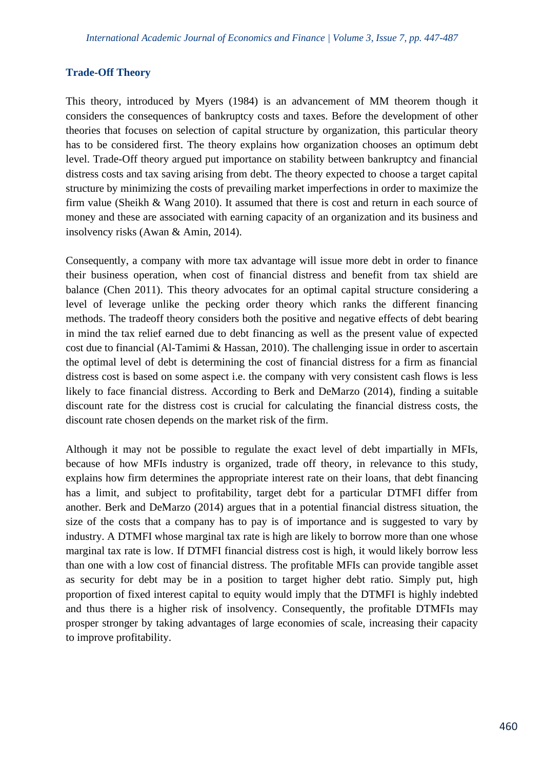## **Trade-Off Theory**

This theory, introduced by Myers (1984) is an advancement of MM theorem though it considers the consequences of bankruptcy costs and taxes. Before the development of other theories that focuses on selection of capital structure by organization, this particular theory has to be considered first. The theory explains how organization chooses an optimum debt level. Trade-Off theory argued put importance on stability between bankruptcy and financial distress costs and tax saving arising from debt. The theory expected to choose a target capital structure by minimizing the costs of prevailing market imperfections in order to maximize the firm value (Sheikh & Wang 2010). It assumed that there is cost and return in each source of money and these are associated with earning capacity of an organization and its business and insolvency risks (Awan & Amin, 2014).

Consequently, a company with more tax advantage will issue more debt in order to finance their business operation, when cost of financial distress and benefit from tax shield are balance (Chen 2011). This theory advocates for an optimal capital structure considering a level of leverage unlike the pecking order theory which ranks the different financing methods. The tradeoff theory considers both the positive and negative effects of debt bearing in mind the tax relief earned due to debt financing as well as the present value of expected cost due to financial (Al-Tamimi & Hassan, 2010). The challenging issue in order to ascertain the optimal level of debt is determining the cost of financial distress for a firm as financial distress cost is based on some aspect i.e. the company with very consistent cash flows is less likely to face financial distress. According to Berk and DeMarzo (2014), finding a suitable discount rate for the distress cost is crucial for calculating the financial distress costs, the discount rate chosen depends on the market risk of the firm.

Although it may not be possible to regulate the exact level of debt impartially in MFIs, because of how MFIs industry is organized, trade off theory, in relevance to this study, explains how firm determines the appropriate interest rate on their loans, that debt financing has a limit, and subject to profitability, target debt for a particular DTMFI differ from another. Berk and DeMarzo (2014) argues that in a potential financial distress situation, the size of the costs that a company has to pay is of importance and is suggested to vary by industry. A DTMFI whose marginal tax rate is high are likely to borrow more than one whose marginal tax rate is low. If DTMFI financial distress cost is high, it would likely borrow less than one with a low cost of financial distress. The profitable MFIs can provide tangible asset as security for debt may be in a position to target higher debt ratio. Simply put, high proportion of fixed interest capital to equity would imply that the DTMFI is highly indebted and thus there is a higher risk of insolvency. Consequently, the profitable DTMFIs may prosper stronger by taking advantages of large economies of scale, increasing their capacity to improve profitability.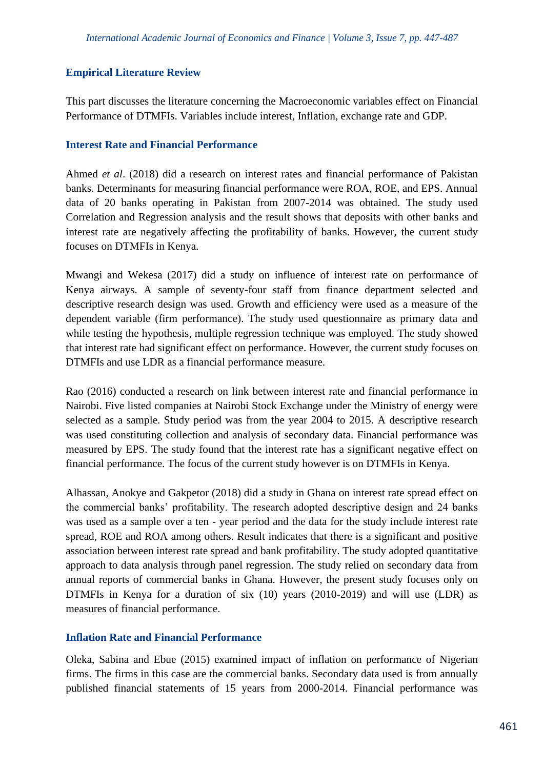#### **Empirical Literature Review**

This part discusses the literature concerning the Macroeconomic variables effect on Financial Performance of DTMFIs. Variables include interest, Inflation, exchange rate and GDP.

#### **Interest Rate and Financial Performance**

Ahmed *et al*. (2018) did a research on interest rates and financial performance of Pakistan banks. Determinants for measuring financial performance were ROA, ROE, and EPS. Annual data of 20 banks operating in Pakistan from 2007-2014 was obtained. The study used Correlation and Regression analysis and the result shows that deposits with other banks and interest rate are negatively affecting the profitability of banks. However, the current study focuses on DTMFIs in Kenya.

Mwangi and Wekesa (2017) did a study on influence of interest rate on performance of Kenya airways. A sample of seventy-four staff from finance department selected and descriptive research design was used. Growth and efficiency were used as a measure of the dependent variable (firm performance). The study used questionnaire as primary data and while testing the hypothesis, multiple regression technique was employed. The study showed that interest rate had significant effect on performance. However, the current study focuses on DTMFIs and use LDR as a financial performance measure.

Rao (2016) conducted a research on link between interest rate and financial performance in Nairobi. Five listed companies at Nairobi Stock Exchange under the Ministry of energy were selected as a sample. Study period was from the year 2004 to 2015. A descriptive research was used constituting collection and analysis of secondary data. Financial performance was measured by EPS. The study found that the interest rate has a significant negative effect on financial performance. The focus of the current study however is on DTMFIs in Kenya.

Alhassan, Anokye and Gakpetor (2018) did a study in Ghana on interest rate spread effect on the commercial banks' profitability. The research adopted descriptive design and 24 banks was used as a sample over a ten - year period and the data for the study include interest rate spread, ROE and ROA among others. Result indicates that there is a significant and positive association between interest rate spread and bank profitability. The study adopted quantitative approach to data analysis through panel regression. The study relied on secondary data from annual reports of commercial banks in Ghana. However, the present study focuses only on DTMFIs in Kenya for a duration of six (10) years (2010-2019) and will use (LDR) as measures of financial performance.

#### **Inflation Rate and Financial Performance**

Oleka, Sabina and Ebue (2015) examined impact of inflation on performance of Nigerian firms. The firms in this case are the commercial banks. Secondary data used is from annually published financial statements of 15 years from 2000-2014. Financial performance was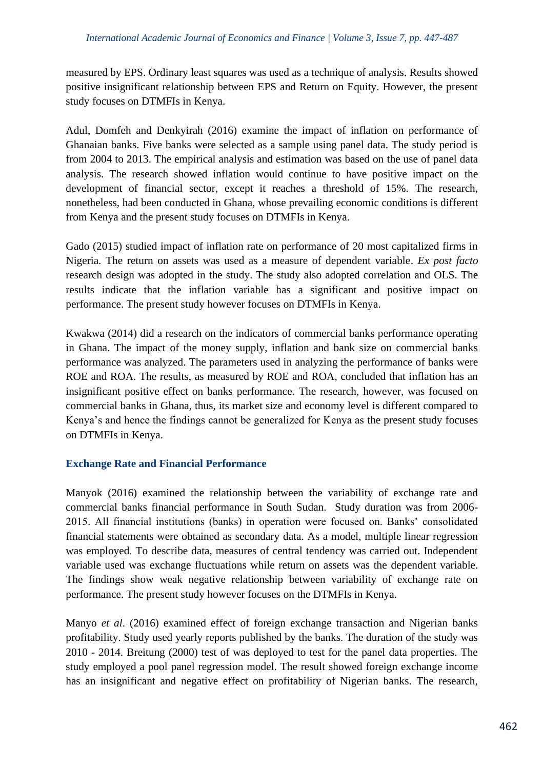measured by EPS. Ordinary least squares was used as a technique of analysis. Results showed positive insignificant relationship between EPS and Return on Equity. However, the present study focuses on DTMFIs in Kenya.

Adul, Domfeh and Denkyirah (2016) examine the impact of inflation on performance of Ghanaian banks. Five banks were selected as a sample using panel data. The study period is from 2004 to 2013. The empirical analysis and estimation was based on the use of panel data analysis. The research showed inflation would continue to have positive impact on the development of financial sector, except it reaches a threshold of 15%. The research, nonetheless, had been conducted in Ghana, whose prevailing economic conditions is different from Kenya and the present study focuses on DTMFIs in Kenya.

Gado (2015) studied impact of inflation rate on performance of 20 most capitalized firms in Nigeria. The return on assets was used as a measure of dependent variable. *Ex post facto* research design was adopted in the study. The study also adopted correlation and OLS. The results indicate that the inflation variable has a significant and positive impact on performance. The present study however focuses on DTMFIs in Kenya.

Kwakwa (2014) did a research on the indicators of commercial banks performance operating in Ghana. The impact of the money supply, inflation and bank size on commercial banks performance was analyzed. The parameters used in analyzing the performance of banks were ROE and ROA. The results, as measured by ROE and ROA, concluded that inflation has an insignificant positive effect on banks performance. The research, however, was focused on commercial banks in Ghana, thus, its market size and economy level is different compared to Kenya's and hence the findings cannot be generalized for Kenya as the present study focuses on DTMFIs in Kenya.

#### **Exchange Rate and Financial Performance**

Manyok (2016) examined the relationship between the variability of exchange rate and commercial banks financial performance in South Sudan. Study duration was from 2006- 2015. All financial institutions (banks) in operation were focused on. Banks' consolidated financial statements were obtained as secondary data. As a model, multiple linear regression was employed. To describe data, measures of central tendency was carried out. Independent variable used was exchange fluctuations while return on assets was the dependent variable. The findings show weak negative relationship between variability of exchange rate on performance. The present study however focuses on the DTMFIs in Kenya.

Manyo *et al*. (2016) examined effect of foreign exchange transaction and Nigerian banks profitability. Study used yearly reports published by the banks. The duration of the study was 2010 - 2014. Breitung (2000) test of was deployed to test for the panel data properties. The study employed a pool panel regression model. The result showed foreign exchange income has an insignificant and negative effect on profitability of Nigerian banks. The research,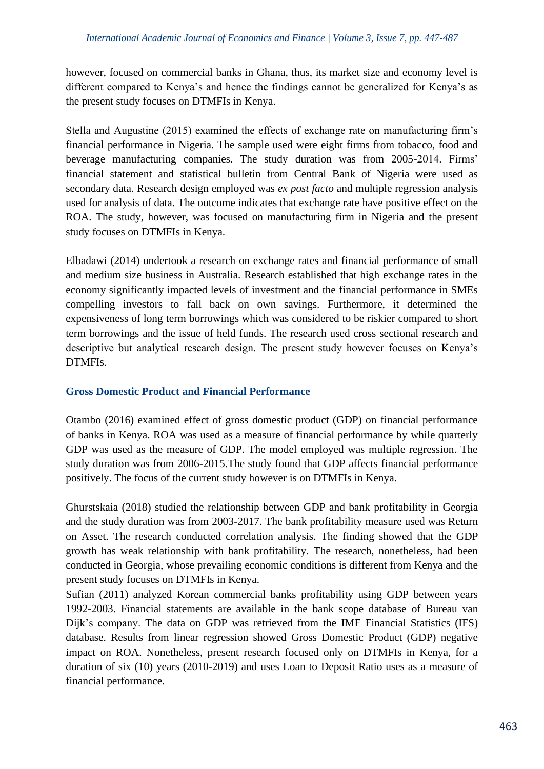however, focused on commercial banks in Ghana, thus, its market size and economy level is different compared to Kenya's and hence the findings cannot be generalized for Kenya's as the present study focuses on DTMFIs in Kenya.

Stella and Augustine (2015) examined the effects of exchange rate on manufacturing firm's financial performance in Nigeria. The sample used were eight firms from tobacco, food and beverage manufacturing companies. The study duration was from 2005-2014. Firms' financial statement and statistical bulletin from Central Bank of Nigeria were used as secondary data. Research design employed was *ex post facto* and multiple regression analysis used for analysis of data. The outcome indicates that exchange rate have positive effect on the ROA. The study, however, was focused on manufacturing firm in Nigeria and the present study focuses on DTMFIs in Kenya.

Elbadawi (2014) undertook a research on exchange rates and financial performance of small and medium size business in Australia. Research established that high exchange rates in the economy significantly impacted levels of investment and the financial performance in SMEs compelling investors to fall back on own savings. Furthermore, it determined the expensiveness of long term borrowings which was considered to be riskier compared to short term borrowings and the issue of held funds. The research used cross sectional research and descriptive but analytical research design. The present study however focuses on Kenya's DTMFIs.

# **Gross Domestic Product and Financial Performance**

Otambo (2016) examined effect of gross domestic product (GDP) on financial performance of banks in Kenya. ROA was used as a measure of financial performance by while quarterly GDP was used as the measure of GDP. The model employed was multiple regression. The study duration was from 2006-2015.The study found that GDP affects financial performance positively. The focus of the current study however is on DTMFIs in Kenya.

Ghurstskaia (2018) studied the relationship between GDP and bank profitability in Georgia and the study duration was from 2003-2017. The bank profitability measure used was Return on Asset. The research conducted correlation analysis. The finding showed that the GDP growth has weak relationship with bank profitability. The research, nonetheless, had been conducted in Georgia, whose prevailing economic conditions is different from Kenya and the present study focuses on DTMFIs in Kenya.

Sufian (2011) analyzed Korean commercial banks profitability using GDP between years 1992-2003. Financial statements are available in the bank scope database of Bureau van Dijk's company. The data on GDP was retrieved from the IMF Financial Statistics (IFS) database. Results from linear regression showed Gross Domestic Product (GDP) negative impact on ROA. Nonetheless, present research focused only on DTMFIs in Kenya, for a duration of six (10) years (2010-2019) and uses Loan to Deposit Ratio uses as a measure of financial performance.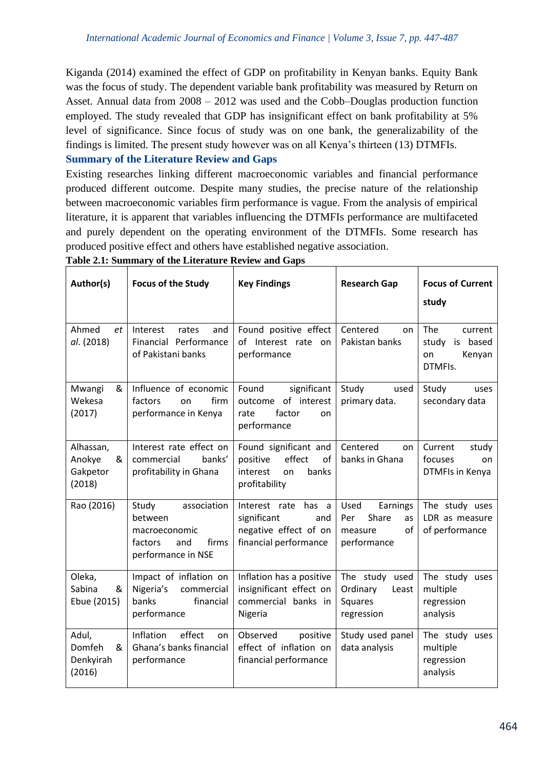Kiganda (2014) examined the effect of GDP on profitability in Kenyan banks. Equity Bank was the focus of study. The dependent variable bank profitability was measured by Return on Asset. Annual data from 2008 – 2012 was used and the Cobb–Douglas production function employed. The study revealed that GDP has insignificant effect on bank profitability at 5% level of significance. Since focus of study was on one bank, the generalizability of the findings is limited. The present study however was on all Kenya's thirteen (13) DTMFIs.

#### **Summary of the Literature Review and Gaps**

Existing researches linking different macroeconomic variables and financial performance produced different outcome. Despite many studies, the precise nature of the relationship between macroeconomic variables firm performance is vague. From the analysis of empirical literature, it is apparent that variables influencing the DTMFIs performance are multifaceted and purely dependent on the operating environment of the DTMFIs. Some research has produced positive effect and others have established negative association.

| Author(s)                                      | <b>Focus of the Study</b>                                                                         | <b>Key Findings</b>                                                                               | <b>Research Gap</b>                                                    | <b>Focus of Current</b><br>study                               |
|------------------------------------------------|---------------------------------------------------------------------------------------------------|---------------------------------------------------------------------------------------------------|------------------------------------------------------------------------|----------------------------------------------------------------|
| Ahmed<br>et<br>al. (2018)                      | Interest<br>rates<br>and<br>Financial Performance<br>of Pakistani banks                           | Found positive effect<br>of Interest rate<br>on<br>performance                                    | Centered<br>on<br>Pakistan banks                                       | The<br>current<br>is based<br>study<br>Kenyan<br>on<br>DTMFIs. |
| Mwangi<br>&<br>Wekesa<br>(2017)                | Influence of economic<br>factors<br>firm<br>on<br>performance in Kenya                            | Found<br>significant<br>outcome of interest<br>factor<br>rate<br>on<br>performance                | Study<br>used<br>primary data.                                         | Study<br>uses<br>secondary data                                |
| Alhassan,<br>Anokye<br>&<br>Gakpetor<br>(2018) | Interest rate effect on<br>commercial<br>banks'<br>profitability in Ghana                         | Found significant and<br>effect<br>positive<br>οf<br>interest<br>banks<br>on<br>profitability     | Centered<br>on<br>banks in Ghana                                       | Current<br>study<br>focuses<br>on<br>DTMFIs in Kenya           |
| Rao (2016)                                     | association<br>Study<br>between<br>macroeconomic<br>firms<br>factors<br>and<br>performance in NSE | Interest rate<br>has<br>a<br>significant<br>and<br>negative effect of on<br>financial performance | Used<br>Earnings<br>Share<br>Per<br>as<br>of<br>measure<br>performance | The study uses<br>LDR as measure<br>of performance             |
| Oleka,<br>Sabina<br>&<br>Ebue (2015)           | Impact of inflation on<br>Nigeria's<br>commercial<br>banks<br>financial<br>performance            | Inflation has a positive<br>insignificant effect on<br>commercial banks in<br>Nigeria             | The study used<br>Ordinary<br>Least<br><b>Squares</b><br>regression    | The study uses<br>multiple<br>regression<br>analysis           |
| Adul,<br>Domfeh<br>&<br>Denkyirah<br>(2016)    | effect<br><b>Inflation</b><br><sub>on</sub><br>Ghana's banks financial<br>performance             | Observed<br>positive<br>effect of inflation on<br>financial performance                           | Study used panel<br>data analysis                                      | The study uses<br>multiple<br>regression<br>analysis           |

#### **Table 2.1: Summary of the Literature Review and Gaps**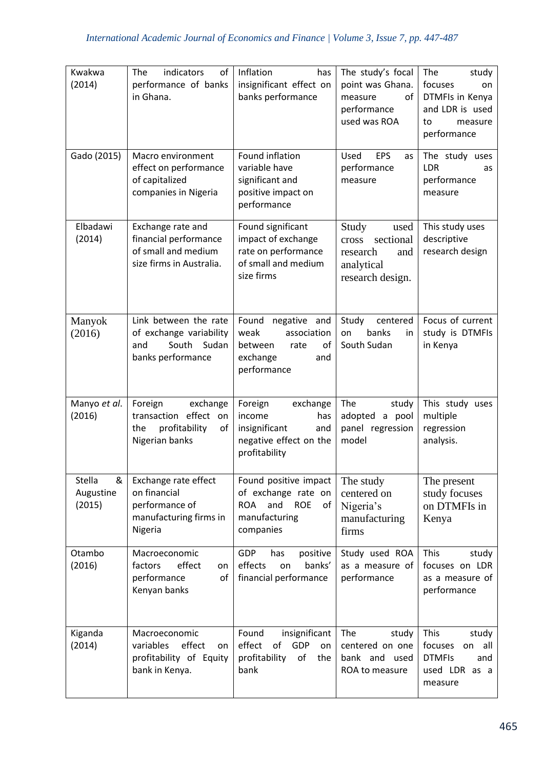| Kwakwa<br>(2014)                   | indicators<br>The<br>of<br>performance of banks<br>in Ghana.                                    | Inflation<br>has<br>insignificant effect on<br>banks performance                                                    | The study's focal<br>point was Ghana.<br>of<br>measure<br>performance<br>used was ROA    | The<br>study<br>focuses<br>on<br>DTMFIs in Kenya<br>and LDR is used<br>to<br>measure<br>performance |
|------------------------------------|-------------------------------------------------------------------------------------------------|---------------------------------------------------------------------------------------------------------------------|------------------------------------------------------------------------------------------|-----------------------------------------------------------------------------------------------------|
| Gado (2015)                        | Macro environment<br>effect on performance<br>of capitalized<br>companies in Nigeria            | Found inflation<br>variable have<br>significant and<br>positive impact on<br>performance                            | EPS<br>Used<br>as<br>performance<br>measure                                              | The study uses<br><b>LDR</b><br>as<br>performance<br>measure                                        |
| Elbadawi<br>(2014)                 | Exchange rate and<br>financial performance<br>of small and medium<br>size firms in Australia.   | Found significant<br>impact of exchange<br>rate on performance<br>of small and medium<br>size firms                 | Study<br>used<br>sectional<br>cross<br>research<br>and<br>analytical<br>research design. | This study uses<br>descriptive<br>research design                                                   |
| Manyok<br>(2016)                   | Link between the rate<br>of exchange variability<br>South Sudan<br>and<br>banks performance     | Found<br>negative and<br>weak<br>association<br>between<br>rate<br>οf<br>exchange<br>and<br>performance             | Study<br>centered<br>banks<br>on<br>in<br>South Sudan                                    | Focus of current<br>study is DTMFIs<br>in Kenya                                                     |
| Manyo et al.<br>(2016)             | Foreign<br>exchange<br>transaction effect<br>on<br>profitability<br>of<br>the<br>Nigerian banks | Foreign<br>exchange<br>income<br>has<br>insignificant<br>and<br>negative effect on the<br>profitability             | The<br>study<br>adopted<br>a pool<br>panel regression<br>model                           | This study uses<br>multiple<br>regression<br>analysis.                                              |
| Stella<br>&<br>Augustine<br>(2015) | Exchange rate effect<br>on financial<br>performance of<br>manufacturing firms in<br>Nigeria     | Found positive impact<br>of exchange rate on<br><b>ROA</b><br>and<br><b>ROE</b><br>of<br>manufacturing<br>companies | The study<br>centered on<br>Nigeria's<br>manufacturing<br>firms                          | The present<br>study focuses<br>on DTMFIs in<br>Kenya                                               |
| Otambo<br>(2016)                   | Macroeconomic<br>effect<br>factors<br>on<br>of<br>performance<br>Kenyan banks                   | <b>GDP</b><br>has<br>positive<br>effects<br>banks'<br>on<br>financial performance                                   | Study used ROA<br>as a measure of<br>performance                                         | This<br>study<br>focuses on LDR<br>as a measure of<br>performance                                   |
| Kiganda<br>(2014)                  | Macroeconomic<br>effect<br>variables<br>on<br>profitability of Equity<br>bank in Kenya.         | Found<br>insignificant<br>effect<br>GDP<br>of<br>on<br>profitability<br>of<br>the<br>bank                           | The<br>study<br>centered on one<br>bank and used<br>ROA to measure                       | This<br>study<br>focuses<br>all<br>on<br><b>DTMFIs</b><br>and<br>used LDR as a<br>measure           |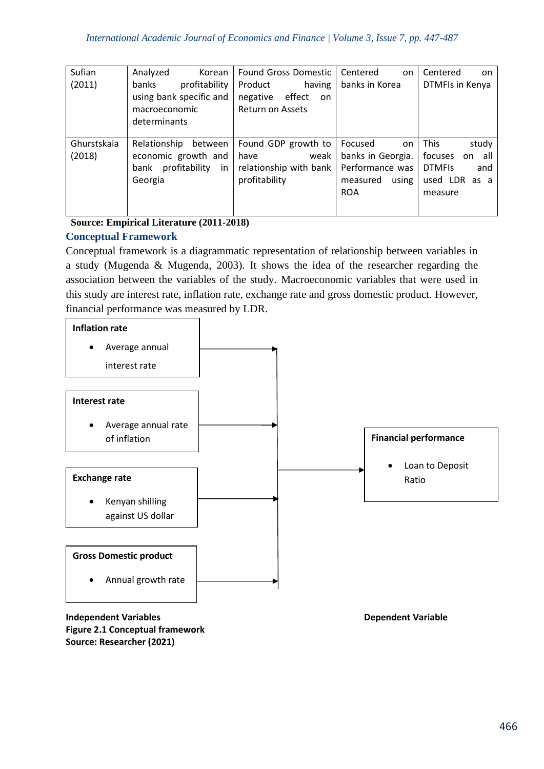| Sufian                | Analyzed<br>Korean                                                                       | <b>Found Gross Domestic</b>                                                    | Centered<br>on                                                                           | Centered<br>on.                                                                                  |
|-----------------------|------------------------------------------------------------------------------------------|--------------------------------------------------------------------------------|------------------------------------------------------------------------------------------|--------------------------------------------------------------------------------------------------|
| (2011)                | profitability<br>banks<br>using bank specific and<br>macroeconomic<br>determinants       | Product<br>having<br>negative<br>effect<br>on<br>Return on Assets              | banks in Korea                                                                           | DTMFIs in Kenya                                                                                  |
| Ghurstskaia<br>(2018) | Relationship<br>between<br>economic growth and<br>profitability<br>in<br>bank<br>Georgia | Found GDP growth to<br>weak<br>have<br>relationship with bank<br>profitability | Focused<br>on<br>banks in Georgia.<br>Performance was<br>using<br>measured<br><b>ROA</b> | <b>This</b><br>study<br>focuses<br>all<br>on<br><b>DTMFIS</b><br>and<br>used LDR as a<br>measure |

## **Source: Empirical Literature (2011-2018) Conceptual Framework**

Conceptual framework is a diagrammatic representation of relationship between variables in a study (Mugenda & Mugenda, 2003). It shows the idea of the researcher regarding the association between the variables of the study. Macroeconomic variables that were used in this study are interest rate, inflation rate, exchange rate and gross domestic product. However, financial performance was measured by LDR.



#### **Independent Variables Dependent Variable Figure 2.1 Conceptual framework Source: Researcher (2021)**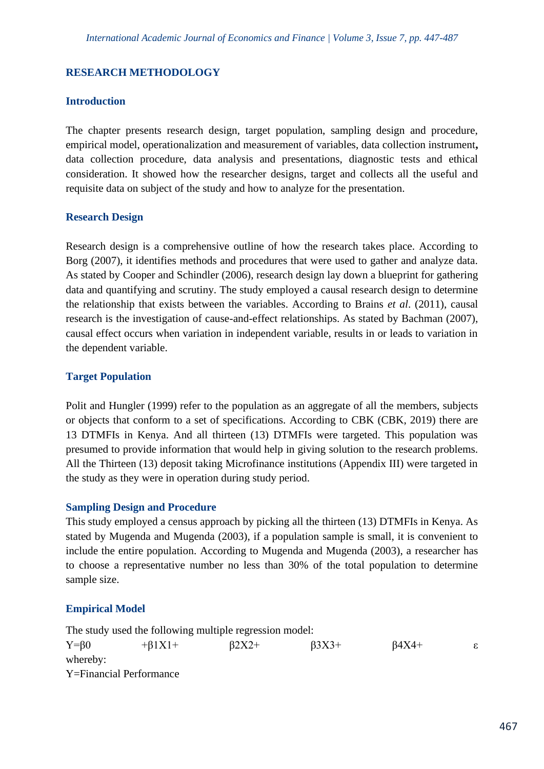## **RESEARCH METHODOLOGY**

#### **Introduction**

The chapter presents research design, target population, sampling design and procedure, empirical model, operationalization and measurement of variables, data collection instrument**,**  data collection procedure, data analysis and presentations, diagnostic tests and ethical consideration. It showed how the researcher designs, target and collects all the useful and requisite data on subject of the study and how to analyze for the presentation.

#### **Research Design**

Research design is a comprehensive outline of how the research takes place. According to Borg (2007), it identifies methods and procedures that were used to gather and analyze data. As stated by Cooper and Schindler (2006), research design lay down a blueprint for gathering data and quantifying and scrutiny. The study employed a causal research design to determine the relationship that exists between the variables. According to Brains *et al*. (2011), causal research is the investigation of cause-and-effect relationships. As stated by Bachman (2007), causal effect occurs when variation in independent variable, results in or leads to variation in the dependent variable.

#### **Target Population**

Polit and Hungler (1999) refer to the population as an aggregate of all the members, subjects or objects that conform to a set of specifications. According to CBK (CBK, 2019) there are 13 DTMFIs in Kenya. And all thirteen (13) DTMFIs were targeted. This population was presumed to provide information that would help in giving solution to the research problems. All the Thirteen (13) deposit taking Microfinance institutions (Appendix III) were targeted in the study as they were in operation during study period.

#### **Sampling Design and Procedure**

This study employed a census approach by picking all the thirteen (13) DTMFIs in Kenya. As stated by Mugenda and Mugenda (2003), if a population sample is small, it is convenient to include the entire population. According to Mugenda and Mugenda (2003), a researcher has to choose a representative number no less than 30% of the total population to determine sample size.

#### **Empirical Model**

The study used the following multiple regression model:  $Y=\beta 0$  +β1X1+ β2X2+ β3X3+ β4X4+ ε whereby: Y=Financial Performance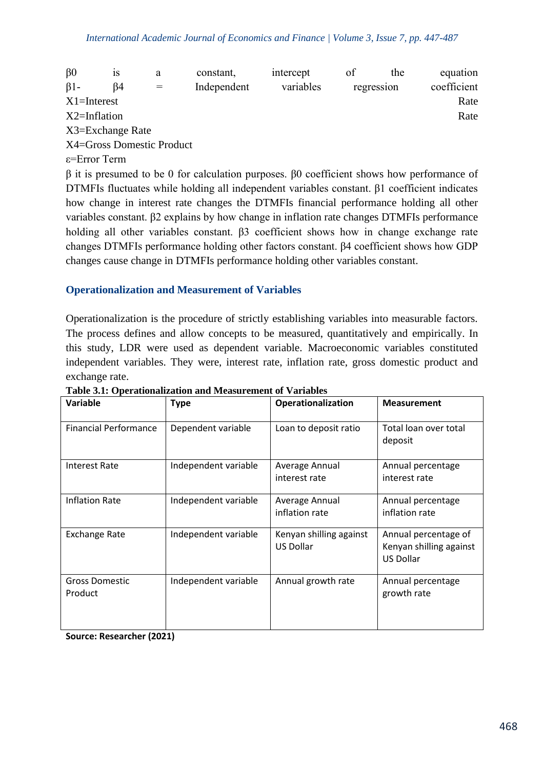| $\beta$ 0        | 1S               | a                         | constant,   | intercept | οf | the        | equation    |
|------------------|------------------|---------------------------|-------------|-----------|----|------------|-------------|
| $\beta$ 1-       | ß4               |                           | Independent | variables |    | regression | coefficient |
| $X1 =$ Interest  |                  |                           |             |           |    |            | Rate        |
| $X2 = Inflation$ |                  |                           |             |           |    |            | Rate        |
|                  | X3=Exchange Rate |                           |             |           |    |            |             |
|                  |                  | X4=Gross Domestic Product |             |           |    |            |             |

ε=Error Term

β it is presumed to be 0 for calculation purposes. β0 coefficient shows how performance of DTMFIs fluctuates while holding all independent variables constant. β1 coefficient indicates how change in interest rate changes the DTMFIs financial performance holding all other variables constant. β2 explains by how change in inflation rate changes DTMFIs performance holding all other variables constant. β3 coefficient shows how in change exchange rate changes DTMFIs performance holding other factors constant. β4 coefficient shows how GDP changes cause change in DTMFIs performance holding other variables constant.

#### **Operationalization and Measurement of Variables**

Operationalization is the procedure of strictly establishing variables into measurable factors. The process defines and allow concepts to be measured, quantitatively and empirically. In this study, LDR were used as dependent variable. Macroeconomic variables constituted independent variables. They were, interest rate, inflation rate, gross domestic product and exchange rate.

| Variable                         | <b>Type</b>          | Operationalization                   | <b>Measurement</b>                                                  |
|----------------------------------|----------------------|--------------------------------------|---------------------------------------------------------------------|
| <b>Financial Performance</b>     | Dependent variable   | Loan to deposit ratio                | Total loan over total<br>deposit                                    |
| <b>Interest Rate</b>             | Independent variable | Average Annual<br>interest rate      | Annual percentage<br>interest rate                                  |
| <b>Inflation Rate</b>            | Independent variable | Average Annual<br>inflation rate     | Annual percentage<br>inflation rate                                 |
| <b>Exchange Rate</b>             | Independent variable | Kenyan shilling against<br>US Dollar | Annual percentage of<br>Kenyan shilling against<br><b>US Dollar</b> |
| <b>Gross Domestic</b><br>Product | Independent variable | Annual growth rate                   | Annual percentage<br>growth rate                                    |

**Table 3.1: Operationalization and Measurement of Variables**

**Source: Researcher (2021)**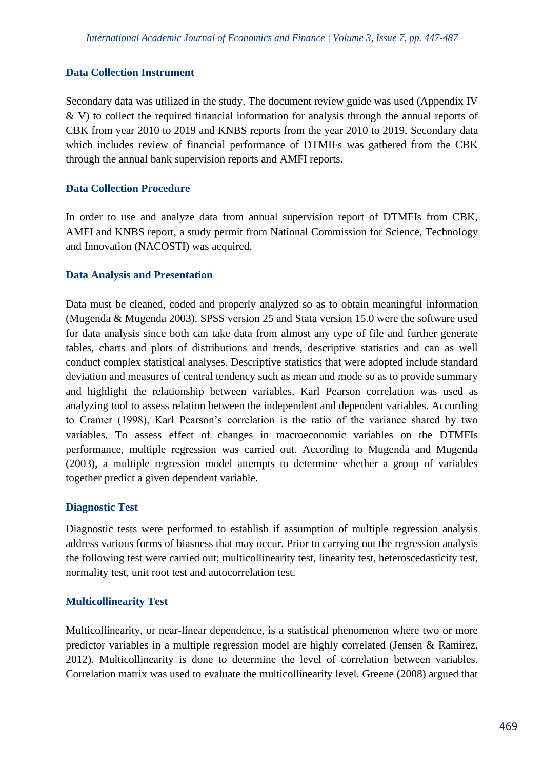#### **Data Collection Instrument**

Secondary data was utilized in the study. The document review guide was used (Appendix IV & V) to collect the required financial information for analysis through the annual reports of CBK from year 2010 to 2019 and KNBS reports from the year 2010 to 2019. Secondary data which includes review of financial performance of DTMIFs was gathered from the CBK through the annual bank supervision reports and AMFI reports.

#### **Data Collection Procedure**

In order to use and analyze data from annual supervision report of DTMFIs from CBK, AMFI and KNBS report, a study permit from National Commission for Science, Technology and Innovation (NACOSTI) was acquired.

#### **Data Analysis and Presentation**

Data must be cleaned, coded and properly analyzed so as to obtain meaningful information (Mugenda & Mugenda 2003). SPSS version 25 and Stata version 15.0 were the software used for data analysis since both can take data from almost any type of file and further generate tables, charts and plots of distributions and trends, descriptive statistics and can as well conduct complex statistical analyses. Descriptive statistics that were adopted include standard deviation and measures of central tendency such as mean and mode so as to provide summary and highlight the relationship between variables. Karl Pearson correlation was used as analyzing tool to assess relation between the independent and dependent variables. According to Cramer (1998), Karl Pearson's correlation is the ratio of the variance shared by two variables. To assess effect of changes in macroeconomic variables on the DTMFIs performance, multiple regression was carried out. According to Mugenda and Mugenda (2003), a multiple regression model attempts to determine whether a group of variables together predict a given dependent variable.

#### **Diagnostic Test**

Diagnostic tests were performed to establish if assumption of multiple regression analysis address various forms of biasness that may occur. Prior to carrying out the regression analysis the following test were carried out; multicollinearity test, linearity test, heteroscedasticity test, normality test, unit root test and autocorrelation test.

#### **Multicollinearity Test**

Multicollinearity, or near-linear dependence, is a statistical phenomenon where two or more predictor variables in a multiple regression model are highly correlated (Jensen & Ramirez, 2012). Multicollinearity is done to determine the level of correlation between variables. Correlation matrix was used to evaluate the multicollinearity level. Greene (2008) argued that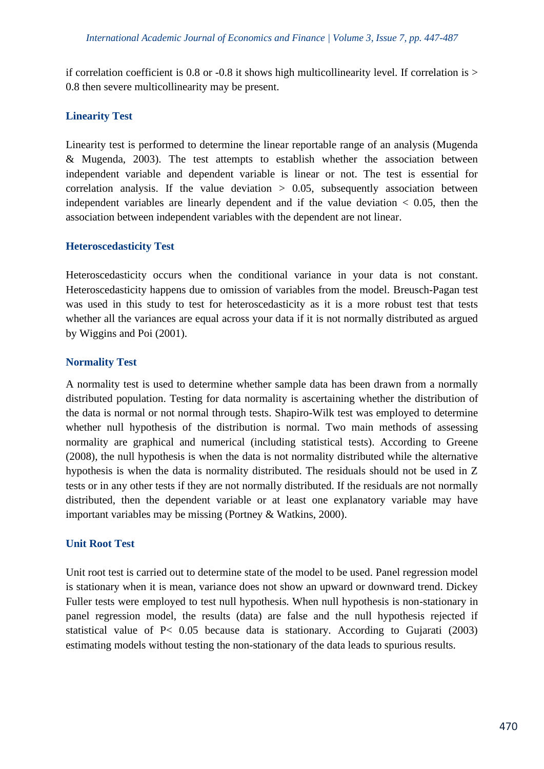if correlation coefficient is 0.8 or -0.8 it shows high multicollinearity level. If correlation is  $>$ 0.8 then severe multicollinearity may be present.

#### **Linearity Test**

Linearity test is performed to determine the linear reportable range of an analysis (Mugenda & Mugenda, 2003). The test attempts to establish whether the association between independent variable and dependent variable is linear or not. The test is essential for correlation analysis. If the value deviation  $> 0.05$ , subsequently association between independent variables are linearly dependent and if the value deviation  $\lt$  0.05, then the association between independent variables with the dependent are not linear.

#### **Heteroscedasticity Test**

Heteroscedasticity occurs when the conditional variance in your data is not constant. Heteroscedasticity happens due to omission of variables from the model. Breusch-Pagan test was used in this study to test for heteroscedasticity as it is a more robust test that tests whether all the variances are equal across your data if it is not normally distributed as argued by Wiggins and Poi (2001).

#### **Normality Test**

A normality test is used to determine whether sample data has been drawn from a normally distributed population. Testing for data normality is ascertaining whether the distribution of the data is normal or not normal through tests. Shapiro-Wilk test was employed to determine whether null hypothesis of the distribution is normal. Two main methods of assessing normality are graphical and numerical (including statistical tests). According to Greene (2008), the null hypothesis is when the data is not normality distributed while the alternative hypothesis is when the data is normality distributed. The residuals should not be used in Z tests or in any other tests if they are not normally distributed. If the residuals are not normally distributed, then the dependent variable or at least one explanatory variable may have important variables may be missing (Portney & Watkins, 2000).

#### **Unit Root Test**

Unit root test is carried out to determine state of the model to be used. Panel regression model is stationary when it is mean, variance does not show an upward or downward trend. Dickey Fuller tests were employed to test null hypothesis. When null hypothesis is non-stationary in panel regression model, the results (data) are false and the null hypothesis rejected if statistical value of P< 0.05 because data is stationary. According to Gujarati (2003) estimating models without testing the non-stationary of the data leads to spurious results.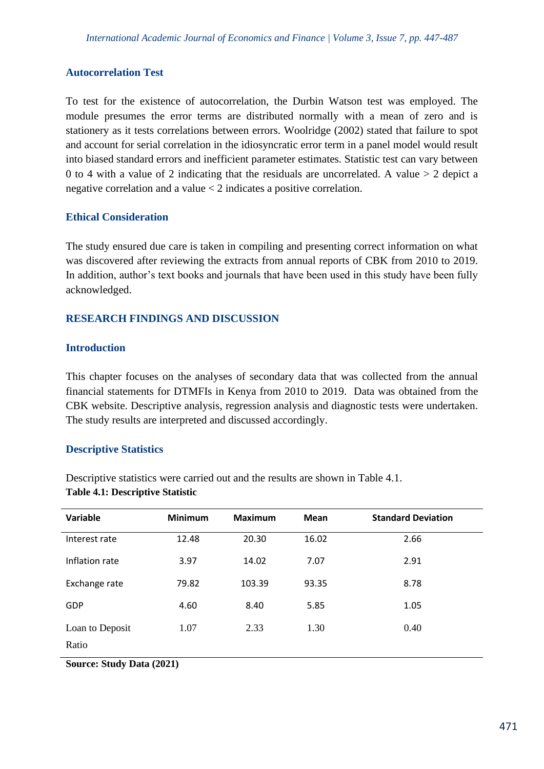#### **Autocorrelation Test**

To test for the existence of autocorrelation, the Durbin Watson test was employed. The module presumes the error terms are distributed normally with a mean of zero and is stationery as it tests correlations between errors. Woolridge (2002) stated that failure to spot and account for serial correlation in the idiosyncratic error term in a panel model would result into biased standard errors and inefficient parameter estimates. Statistic test can vary between 0 to 4 with a value of 2 indicating that the residuals are uncorrelated. A value  $>$  2 depict a negative correlation and a value < 2 indicates a positive correlation.

#### **Ethical Consideration**

The study ensured due care is taken in compiling and presenting correct information on what was discovered after reviewing the extracts from annual reports of CBK from 2010 to 2019. In addition, author's text books and journals that have been used in this study have been fully acknowledged.

#### **RESEARCH FINDINGS AND DISCUSSION**

#### **Introduction**

This chapter focuses on the analyses of secondary data that was collected from the annual financial statements for DTMFIs in Kenya from 2010 to 2019. Data was obtained from the CBK website. Descriptive analysis, regression analysis and diagnostic tests were undertaken. The study results are interpreted and discussed accordingly.

#### **Descriptive Statistics**

Descriptive statistics were carried out and the results are shown in Table 4.1. **Table 4.1: Descriptive Statistic**

| Variable                                            | <b>Minimum</b> | <b>Maximum</b> | <b>Mean</b> | <b>Standard Deviation</b> |
|-----------------------------------------------------|----------------|----------------|-------------|---------------------------|
| Interest rate                                       | 12.48          | 20.30          | 16.02       | 2.66                      |
| Inflation rate                                      | 3.97           | 14.02          | 7.07        | 2.91                      |
| Exchange rate                                       | 79.82          | 103.39         | 93.35       | 8.78                      |
| <b>GDP</b>                                          | 4.60           | 8.40           | 5.85        | 1.05                      |
| Loan to Deposit                                     | 1.07           | 2.33           | 1.30        | 0.40                      |
| Ratio<br><b>Contract Contract Contract Contract</b> | .              |                |             |                           |

**Source: Study Data (2021)**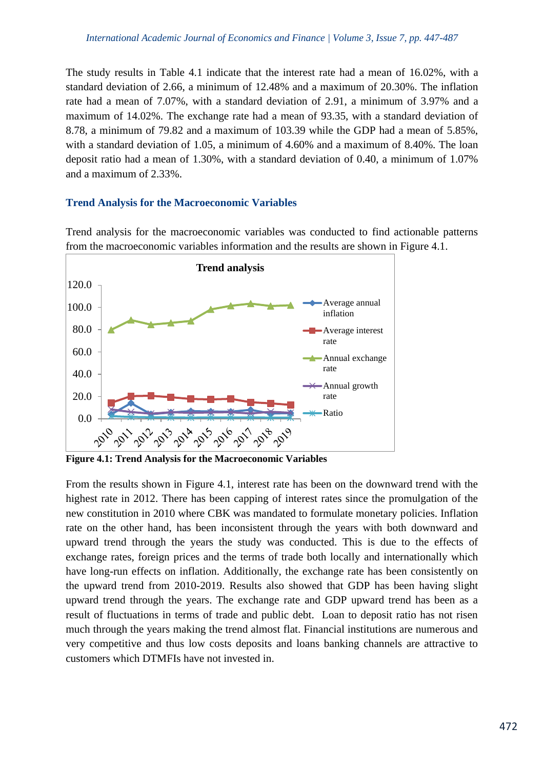The study results in Table 4.1 indicate that the interest rate had a mean of 16.02%, with a standard deviation of 2.66, a minimum of 12.48% and a maximum of 20.30%. The inflation rate had a mean of 7.07%, with a standard deviation of 2.91, a minimum of 3.97% and a maximum of 14.02%. The exchange rate had a mean of 93.35, with a standard deviation of 8.78, a minimum of 79.82 and a maximum of 103.39 while the GDP had a mean of 5.85%, with a standard deviation of 1.05, a minimum of 4.60% and a maximum of 8.40%. The loan deposit ratio had a mean of 1.30%, with a standard deviation of 0.40, a minimum of 1.07% and a maximum of 2.33%.

## **Trend Analysis for the Macroeconomic Variables**

Trend analysis for the macroeconomic variables was conducted to find actionable patterns from the macroeconomic variables information and the results are shown in Figure 4.1.



**Figure 4.1: Trend Analysis for the Macroeconomic Variables**

From the results shown in Figure 4.1, interest rate has been on the downward trend with the highest rate in 2012. There has been capping of interest rates since the promulgation of the new constitution in 2010 where CBK was mandated to formulate monetary policies. Inflation rate on the other hand, has been inconsistent through the years with both downward and upward trend through the years the study was conducted. This is due to the effects of exchange rates, foreign prices and the terms of trade both locally and internationally which have long-run effects on inflation. Additionally, the exchange rate has been consistently on the upward trend from 2010-2019. Results also showed that GDP has been having slight upward trend through the years. The exchange rate and GDP upward trend has been as a result of fluctuations in terms of trade and public debt. Loan to deposit ratio has not risen much through the years making the trend almost flat. Financial institutions are numerous and very competitive and thus low costs deposits and loans banking channels are attractive to customers which DTMFIs have not invested in.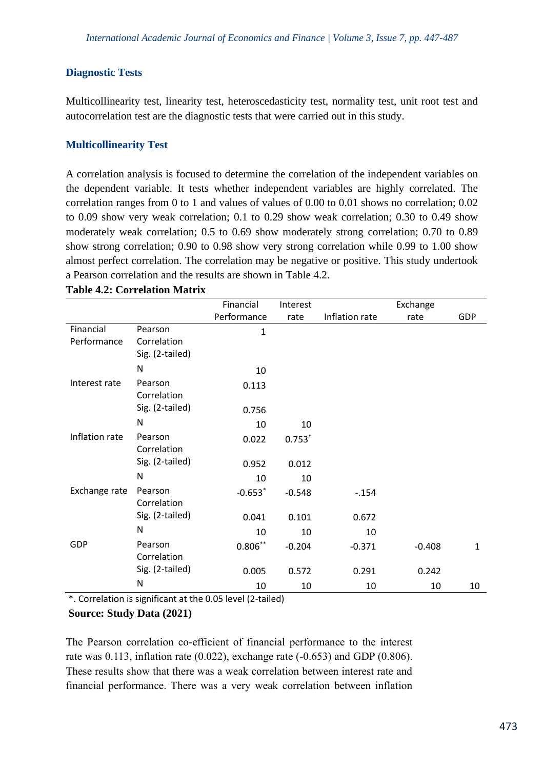#### **Diagnostic Tests**

Multicollinearity test, linearity test, heteroscedasticity test, normality test, unit root test and autocorrelation test are the diagnostic tests that were carried out in this study.

#### **Multicollinearity Test**

A correlation analysis is focused to determine the correlation of the independent variables on the dependent variable. It tests whether independent variables are highly correlated. The correlation ranges from 0 to 1 and values of values of 0.00 to 0.01 shows no correlation; 0.02 to 0.09 show very weak correlation; 0.1 to 0.29 show weak correlation; 0.30 to 0.49 show moderately weak correlation; 0.5 to 0.69 show moderately strong correlation; 0.70 to 0.89 show strong correlation; 0.90 to 0.98 show very strong correlation while 0.99 to 1.00 show almost perfect correlation. The correlation may be negative or positive. This study undertook a Pearson correlation and the results are shown in Table 4.2.

|                          |                                           | Financial   | Interest |                | Exchange |              |
|--------------------------|-------------------------------------------|-------------|----------|----------------|----------|--------------|
|                          |                                           | Performance | rate     | Inflation rate | rate     | GDP          |
| Financial<br>Performance | Pearson<br>Correlation<br>Sig. (2-tailed) | 1           |          |                |          |              |
|                          | $\mathsf{N}$                              | 10          |          |                |          |              |
| Interest rate            | Pearson<br>Correlation                    | 0.113       |          |                |          |              |
|                          | Sig. (2-tailed)                           | 0.756       |          |                |          |              |
|                          | N                                         | 10          | 10       |                |          |              |
| Inflation rate           | Pearson<br>Correlation                    | 0.022       | $0.753*$ |                |          |              |
|                          | Sig. (2-tailed)                           | 0.952       | 0.012    |                |          |              |
|                          | N                                         | 10          | 10       |                |          |              |
| Exchange rate            | Pearson<br>Correlation                    | $-0.653*$   | $-0.548$ | $-154$         |          |              |
|                          | Sig. (2-tailed)                           | 0.041       | 0.101    | 0.672          |          |              |
|                          | N                                         | 10          | 10       | 10             |          |              |
| <b>GDP</b>               | Pearson<br>Correlation                    | $0.806***$  | $-0.204$ | $-0.371$       | $-0.408$ | $\mathbf{1}$ |
|                          | Sig. (2-tailed)                           | 0.005       | 0.572    | 0.291          | 0.242    |              |
|                          | N                                         | 10          | 10       | 10             | 10       | 10           |

**Table 4.2: Correlation Matrix**

\*. Correlation is significant at the 0.05 level (2-tailed)

#### **Source: Study Data (2021)**

The Pearson correlation co-efficient of financial performance to the interest rate was 0.113, inflation rate (0.022), exchange rate (-0.653) and GDP (0.806). These results show that there was a weak correlation between interest rate and financial performance. There was a very weak correlation between inflation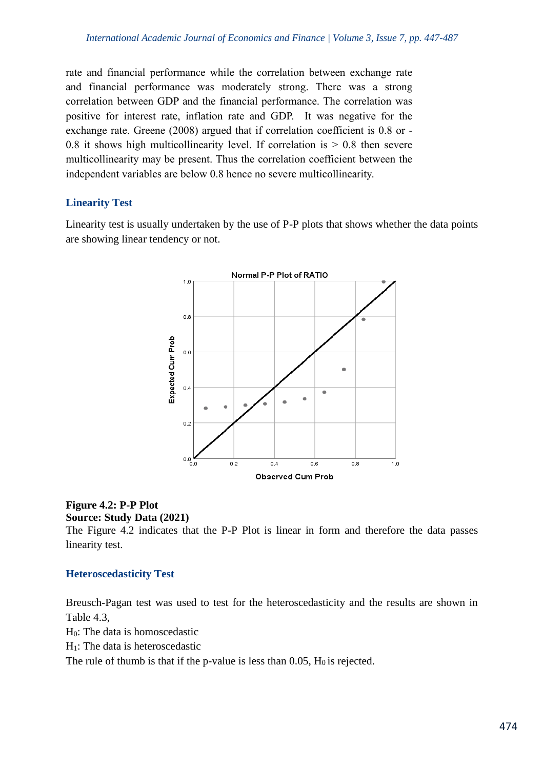rate and financial performance while the correlation between exchange rate and financial performance was moderately strong. There was a strong correlation between GDP and the financial performance. The correlation was positive for interest rate, inflation rate and GDP. It was negative for the exchange rate. Greene (2008) argued that if correlation coefficient is 0.8 or - 0.8 it shows high multicollinearity level. If correlation is  $> 0.8$  then severe multicollinearity may be present. Thus the correlation coefficient between the independent variables are below 0.8 hence no severe multicollinearity.

## **Linearity Test**

Linearity test is usually undertaken by the use of P-P plots that shows whether the data points are showing linear tendency or not.



#### **Figure 4.2: P-P Plot Source: Study Data (2021)**

The Figure 4.2 indicates that the P-P Plot is linear in form and therefore the data passes linearity test.

#### **Heteroscedasticity Test**

Breusch-Pagan test was used to test for the heteroscedasticity and the results are shown in Table 4.3,

H0: The data is homoscedastic

H1: The data is heteroscedastic

The rule of thumb is that if the p-value is less than  $0.05$ ,  $H_0$  is rejected.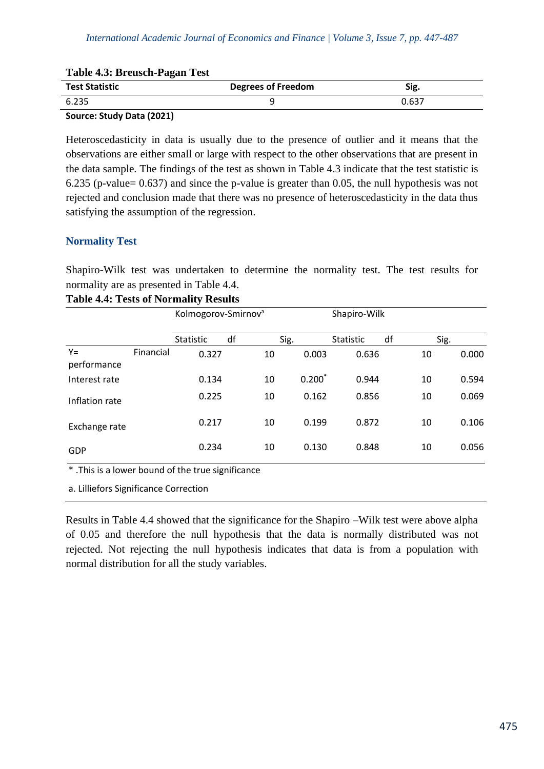| Table 7.3. Dicusti-I agail Test                                 |                           |       |
|-----------------------------------------------------------------|---------------------------|-------|
| <b>Test Statistic</b>                                           | <b>Degrees of Freedom</b> | Sig.  |
| 6.235                                                           |                           | 0.637 |
| $\sim$ $\sim$ $\sim$ $\sim$ $\sim$ $\sim$ $\sim$ $\sim$<br>____ |                           |       |

## **Table 4.3: Breusch-Pagan Test**

## **Source: Study Data (2021)**

Heteroscedasticity in data is usually due to the presence of outlier and it means that the observations are either small or large with respect to the other observations that are present in the data sample. The findings of the test as shown in Table 4.3 indicate that the test statistic is 6.235 (p-value= 0.637) and since the p-value is greater than 0.05, the null hypothesis was not rejected and conclusion made that there was no presence of heteroscedasticity in the data thus satisfying the assumption of the regression.

## **Normality Test**

Shapiro-Wilk test was undertaken to determine the normality test. The test results for normality are as presented in Table 4.4.

|                      |           | Kolmogorov-Smirnov <sup>a</sup> |    |          | Shapiro-Wilk |    |      |       |
|----------------------|-----------|---------------------------------|----|----------|--------------|----|------|-------|
|                      |           | Statistic                       | df | Sig.     | Statistic    | df | Sig. |       |
| $Y =$<br>performance | Financial | 0.327                           | 10 | 0.003    | 0.636        |    | 10   | 0.000 |
| Interest rate        |           | 0.134                           | 10 | $0.200*$ | 0.944        |    | 10   | 0.594 |
| Inflation rate       |           | 0.225                           | 10 | 0.162    | 0.856        |    | 10   | 0.069 |
| Exchange rate        |           | 0.217                           | 10 | 0.199    | 0.872        |    | 10   | 0.106 |
| GDP                  |           | 0.234                           | 10 | 0.130    | 0.848        |    | 10   | 0.056 |

## **Table 4.4: Tests of Normality Results**

\* .This is a lower bound of the true significance

a. Lilliefors Significance Correction

Results in Table 4.4 showed that the significance for the Shapiro –Wilk test were above alpha of 0.05 and therefore the null hypothesis that the data is normally distributed was not rejected. Not rejecting the null hypothesis indicates that data is from a population with normal distribution for all the study variables.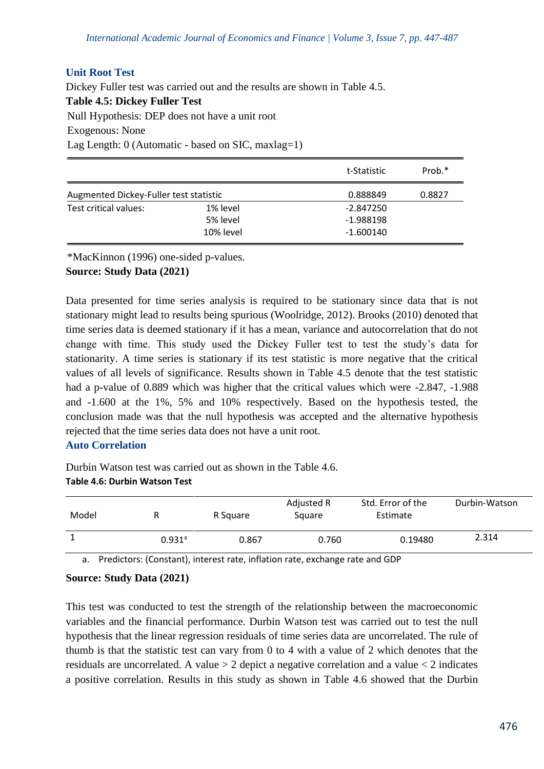## **Unit Root Test**

Dickey Fuller test was carried out and the results are shown in Table 4.5. **Table 4.5: Dickey Fuller Test** Null Hypothesis: DEP does not have a unit root Exogenous: None Lag Length: 0 (Automatic - based on SIC, maxlag=1)

|                                        |           | t-Statistic | Prob.* |
|----------------------------------------|-----------|-------------|--------|
| Augmented Dickey-Fuller test statistic |           | 0.888849    | 0.8827 |
| Test critical values:                  | 1% level  | $-2.847250$ |        |
|                                        | 5% level  | $-1.988198$ |        |
|                                        | 10% level | $-1.600140$ |        |

\*MacKinnon (1996) one-sided p-values.

#### **Source: Study Data (2021)**

Data presented for time series analysis is required to be stationary since data that is not stationary might lead to results being spurious (Woolridge, 2012). Brooks (2010) denoted that time series data is deemed stationary if it has a mean, variance and autocorrelation that do not change with time. This study used the Dickey Fuller test to test the study's data for stationarity. A time series is stationary if its test statistic is more negative that the critical values of all levels of significance. Results shown in Table 4.5 denote that the test statistic had a p-value of 0.889 which was higher that the critical values which were -2.847, -1.988 and -1.600 at the 1%, 5% and 10% respectively. Based on the hypothesis tested, the conclusion made was that the null hypothesis was accepted and the alternative hypothesis rejected that the time series data does not have a unit root.

# **Auto Correlation**

Durbin Watson test was carried out as shown in the Table 4.6. **Table 4.6: Durbin Watson Test**

| Model |                      | R Square | Adjusted R<br>Square | Std. Error of the<br>Estimate | Durbin-Watson |
|-------|----------------------|----------|----------------------|-------------------------------|---------------|
|       | $0.931$ <sup>a</sup> | 0.867    | 0.760                | 0.19480                       | 2.314         |

a. Predictors: (Constant), interest rate, inflation rate, exchange rate and GDP

#### **Source: Study Data (2021)**

This test was conducted to test the strength of the relationship between the macroeconomic variables and the financial performance. Durbin Watson test was carried out to test the null hypothesis that the linear regression residuals of time series data are uncorrelated. The rule of thumb is that the statistic test can vary from 0 to 4 with a value of 2 which denotes that the residuals are uncorrelated. A value  $> 2$  depict a negative correlation and a value  $< 2$  indicates a positive correlation. Results in this study as shown in Table 4.6 showed that the Durbin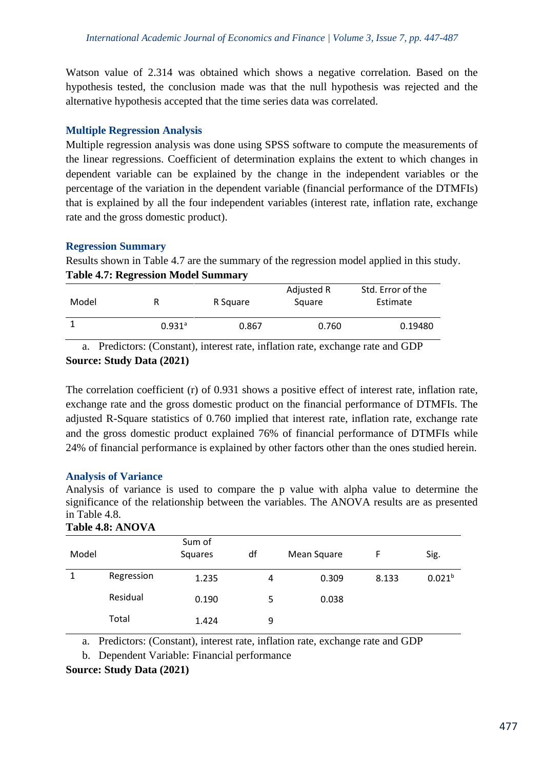Watson value of 2.314 was obtained which shows a negative correlation. Based on the hypothesis tested, the conclusion made was that the null hypothesis was rejected and the alternative hypothesis accepted that the time series data was correlated.

## **Multiple Regression Analysis**

Multiple regression analysis was done using SPSS software to compute the measurements of the linear regressions. Coefficient of determination explains the extent to which changes in dependent variable can be explained by the change in the independent variables or the percentage of the variation in the dependent variable (financial performance of the DTMFIs) that is explained by all the four independent variables (interest rate, inflation rate, exchange rate and the gross domestic product).

#### **Regression Summary**

Results shown in Table 4.7 are the summary of the regression model applied in this study. **Table 4.7: Regression Model Summary**

| Model | R                    | R Square | Adjusted R<br>Square | Std. Error of the<br>Estimate |
|-------|----------------------|----------|----------------------|-------------------------------|
|       | $0.931$ <sup>a</sup> | 0.867    | 0.760                | 0.19480                       |

a. Predictors: (Constant), interest rate, inflation rate, exchange rate and GDP **Source: Study Data (2021)**

The correlation coefficient (r) of 0.931 shows a positive effect of interest rate, inflation rate, exchange rate and the gross domestic product on the financial performance of DTMFIs. The adjusted R-Square statistics of 0.760 implied that interest rate, inflation rate, exchange rate and the gross domestic product explained 76% of financial performance of DTMFIs while 24% of financial performance is explained by other factors other than the ones studied herein.

#### **Analysis of Variance**

Analysis of variance is used to compare the p value with alpha value to determine the significance of the relationship between the variables. The ANOVA results are as presented in Table 4.8.

| 1 AVIC 7.0. ATTO YA |            |                   |    |             |       |                    |  |  |  |  |
|---------------------|------------|-------------------|----|-------------|-------|--------------------|--|--|--|--|
| Model               |            | Sum of<br>Squares | df | Mean Square | F     | Sig.               |  |  |  |  |
|                     | Regression | 1.235             | 4  | 0.309       | 8.133 | 0.021 <sup>b</sup> |  |  |  |  |
|                     | Residual   | 0.190             | 5  | 0.038       |       |                    |  |  |  |  |
|                     | Total      | 1.424             | 9  |             |       |                    |  |  |  |  |

# **Table 4.8: ANOVA**

a. Predictors: (Constant), interest rate, inflation rate, exchange rate and GDP

b. Dependent Variable: Financial performance

**Source: Study Data (2021)**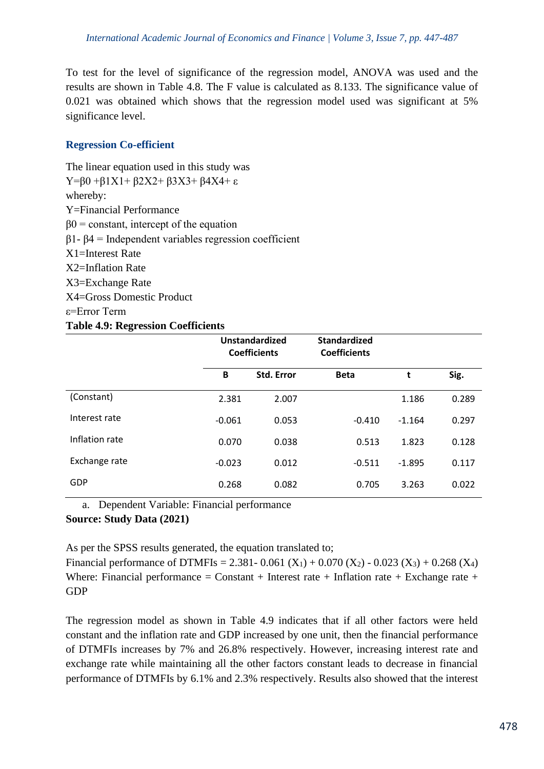To test for the level of significance of the regression model, ANOVA was used and the results are shown in Table 4.8. The F value is calculated as 8.133. The significance value of 0.021 was obtained which shows that the regression model used was significant at 5% significance level.

# **Regression Co-efficient**

The linear equation used in this study was Y=β0 +β1X1+ β2X2+ β3X3+ β4X4+ ε whereby: Y=Financial Performance  $β0 = constant$ , intercept of the equation β1- β4 = Independent variables regression coefficient X1=Interest Rate X2=Inflation Rate X3=Exchange Rate X4=Gross Domestic Product ε=Error Term **Table 4.9: Regression Coefficients**

|                | Unstandardized<br><b>Coefficients</b> |            | <b>Standardized</b><br><b>Coefficients</b> |          |       |
|----------------|---------------------------------------|------------|--------------------------------------------|----------|-------|
|                | B                                     | Std. Error | <b>Beta</b>                                | t        | Sig.  |
| (Constant)     | 2.381                                 | 2.007      |                                            | 1.186    | 0.289 |
| Interest rate  | $-0.061$                              | 0.053      | $-0.410$                                   | $-1.164$ | 0.297 |
| Inflation rate | 0.070                                 | 0.038      | 0.513                                      | 1.823    | 0.128 |
| Exchange rate  | $-0.023$                              | 0.012      | $-0.511$                                   | $-1.895$ | 0.117 |
| GDP            | 0.268                                 | 0.082      | 0.705                                      | 3.263    | 0.022 |

a. Dependent Variable: Financial performance

#### **Source: Study Data (2021)**

GDP

As per the SPSS results generated, the equation translated to; Financial performance of DTMFIs = 2.381- 0.061 (X<sub>1</sub>) + 0.070 (X<sub>2</sub>) - 0.023 (X<sub>3</sub>) + 0.268 (X<sub>4</sub>) Where: Financial performance = Constant + Interest rate + Inflation rate + Exchange rate +

The regression model as shown in Table 4.9 indicates that if all other factors were held constant and the inflation rate and GDP increased by one unit, then the financial performance of DTMFIs increases by 7% and 26.8% respectively. However, increasing interest rate and exchange rate while maintaining all the other factors constant leads to decrease in financial performance of DTMFIs by 6.1% and 2.3% respectively. Results also showed that the interest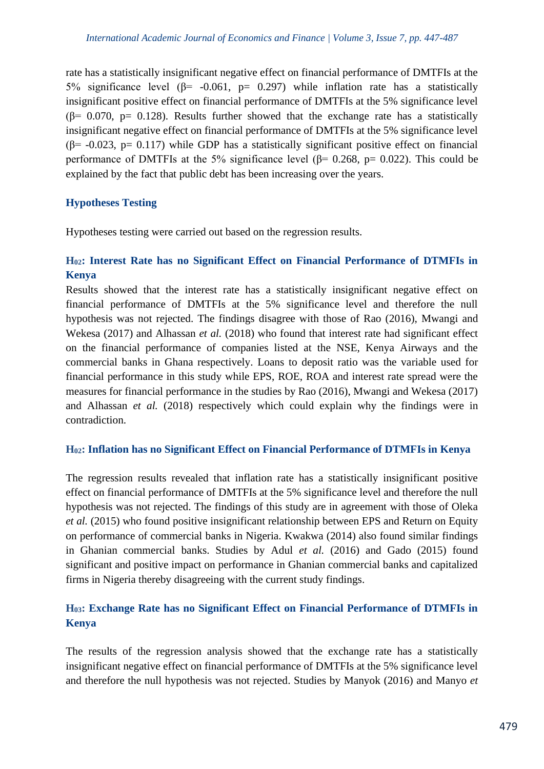rate has a statistically insignificant negative effect on financial performance of DMTFIs at the 5% significance level ( $β = -0.061$ ,  $p = 0.297$ ) while inflation rate has a statistically insignificant positive effect on financial performance of DMTFIs at the 5% significance level  $(6= 0.070, p= 0.128)$ . Results further showed that the exchange rate has a statistically insignificant negative effect on financial performance of DMTFIs at the 5% significance level ( $\beta$ = -0.023, p= 0.117) while GDP has a statistically significant positive effect on financial performance of DMTFIs at the 5% significance level ( $\beta$ = 0.268, p= 0.022). This could be explained by the fact that public debt has been increasing over the years.

# **Hypotheses Testing**

Hypotheses testing were carried out based on the regression results.

# **H02: Interest Rate has no Significant Effect on Financial Performance of DTMFIs in Kenya**

Results showed that the interest rate has a statistically insignificant negative effect on financial performance of DMTFIs at the 5% significance level and therefore the null hypothesis was not rejected. The findings disagree with those of Rao (2016), Mwangi and Wekesa (2017) and Alhassan *et al.* (2018) who found that interest rate had significant effect on the financial performance of companies listed at the NSE, Kenya Airways and the commercial banks in Ghana respectively. Loans to deposit ratio was the variable used for financial performance in this study while EPS, ROE, ROA and interest rate spread were the measures for financial performance in the studies by Rao (2016), Mwangi and Wekesa (2017) and Alhassan *et al.* (2018) respectively which could explain why the findings were in contradiction.

#### **H02: Inflation has no Significant Effect on Financial Performance of DTMFIs in Kenya**

The regression results revealed that inflation rate has a statistically insignificant positive effect on financial performance of DMTFIs at the 5% significance level and therefore the null hypothesis was not rejected. The findings of this study are in agreement with those of Oleka *et al.* (2015) who found positive insignificant relationship between EPS and Return on Equity on performance of commercial banks in Nigeria. Kwakwa (2014) also found similar findings in Ghanian commercial banks. Studies by Adul *et al.* (2016) and Gado (2015) found significant and positive impact on performance in Ghanian commercial banks and capitalized firms in Nigeria thereby disagreeing with the current study findings.

# **H03: Exchange Rate has no Significant Effect on Financial Performance of DTMFIs in Kenya**

The results of the regression analysis showed that the exchange rate has a statistically insignificant negative effect on financial performance of DMTFIs at the 5% significance level and therefore the null hypothesis was not rejected. Studies by Manyok (2016) and Manyo *et*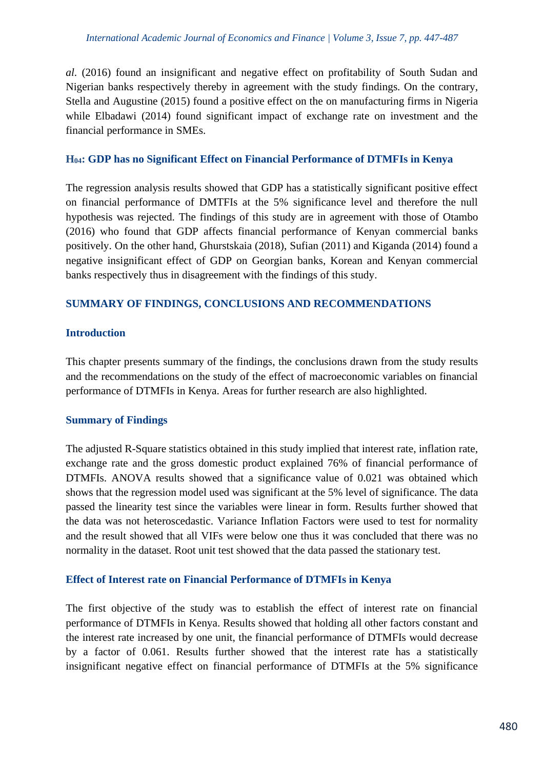*al*. (2016) found an insignificant and negative effect on profitability of South Sudan and Nigerian banks respectively thereby in agreement with the study findings. On the contrary, Stella and Augustine (2015) found a positive effect on the on manufacturing firms in Nigeria while Elbadawi (2014) found significant impact of exchange rate on investment and the financial performance in SMEs.

#### **H04: GDP has no Significant Effect on Financial Performance of DTMFIs in Kenya**

The regression analysis results showed that GDP has a statistically significant positive effect on financial performance of DMTFIs at the 5% significance level and therefore the null hypothesis was rejected. The findings of this study are in agreement with those of Otambo (2016) who found that GDP affects financial performance of Kenyan commercial banks positively. On the other hand, Ghurstskaia (2018), Sufian (2011) and Kiganda (2014) found a negative insignificant effect of GDP on Georgian banks, Korean and Kenyan commercial banks respectively thus in disagreement with the findings of this study.

#### **SUMMARY OF FINDINGS, CONCLUSIONS AND RECOMMENDATIONS**

#### **Introduction**

This chapter presents summary of the findings, the conclusions drawn from the study results and the recommendations on the study of the effect of macroeconomic variables on financial performance of DTMFIs in Kenya. Areas for further research are also highlighted.

#### **Summary of Findings**

The adjusted R-Square statistics obtained in this study implied that interest rate, inflation rate, exchange rate and the gross domestic product explained 76% of financial performance of DTMFIs. ANOVA results showed that a significance value of 0.021 was obtained which shows that the regression model used was significant at the 5% level of significance. The data passed the linearity test since the variables were linear in form. Results further showed that the data was not heteroscedastic. Variance Inflation Factors were used to test for normality and the result showed that all VIFs were below one thus it was concluded that there was no normality in the dataset. Root unit test showed that the data passed the stationary test.

#### **Effect of Interest rate on Financial Performance of DTMFIs in Kenya**

The first objective of the study was to establish the effect of interest rate on financial performance of DTMFIs in Kenya. Results showed that holding all other factors constant and the interest rate increased by one unit, the financial performance of DTMFIs would decrease by a factor of 0.061. Results further showed that the interest rate has a statistically insignificant negative effect on financial performance of DTMFIs at the 5% significance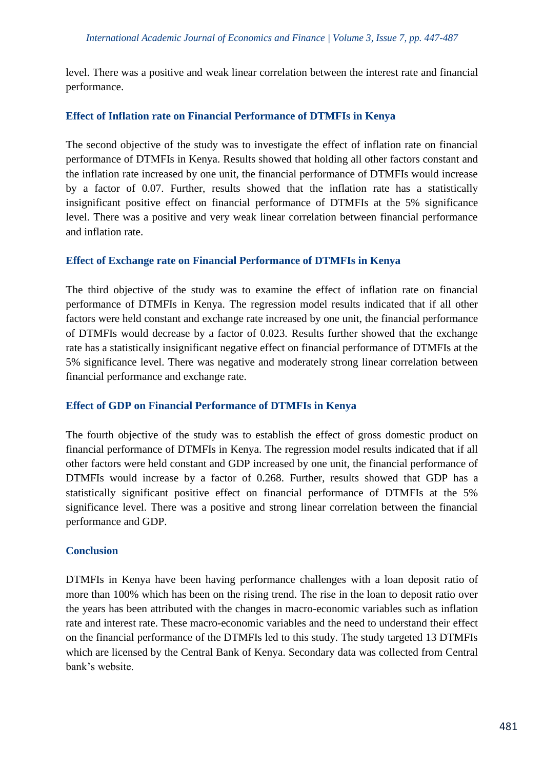level. There was a positive and weak linear correlation between the interest rate and financial performance.

## **Effect of Inflation rate on Financial Performance of DTMFIs in Kenya**

The second objective of the study was to investigate the effect of inflation rate on financial performance of DTMFIs in Kenya. Results showed that holding all other factors constant and the inflation rate increased by one unit, the financial performance of DTMFIs would increase by a factor of 0.07. Further, results showed that the inflation rate has a statistically insignificant positive effect on financial performance of DTMFIs at the 5% significance level. There was a positive and very weak linear correlation between financial performance and inflation rate.

## **Effect of Exchange rate on Financial Performance of DTMFIs in Kenya**

The third objective of the study was to examine the effect of inflation rate on financial performance of DTMFIs in Kenya. The regression model results indicated that if all other factors were held constant and exchange rate increased by one unit, the financial performance of DTMFIs would decrease by a factor of 0.023. Results further showed that the exchange rate has a statistically insignificant negative effect on financial performance of DTMFIs at the 5% significance level. There was negative and moderately strong linear correlation between financial performance and exchange rate.

#### **Effect of GDP on Financial Performance of DTMFIs in Kenya**

The fourth objective of the study was to establish the effect of gross domestic product on financial performance of DTMFIs in Kenya. The regression model results indicated that if all other factors were held constant and GDP increased by one unit, the financial performance of DTMFIs would increase by a factor of 0.268. Further, results showed that GDP has a statistically significant positive effect on financial performance of DTMFIs at the 5% significance level. There was a positive and strong linear correlation between the financial performance and GDP.

#### **Conclusion**

DTMFIs in Kenya have been having performance challenges with a loan deposit ratio of more than 100% which has been on the rising trend. The rise in the loan to deposit ratio over the years has been attributed with the changes in macro-economic variables such as inflation rate and interest rate. These macro-economic variables and the need to understand their effect on the financial performance of the DTMFIs led to this study. The study targeted 13 DTMFIs which are licensed by the Central Bank of Kenya. Secondary data was collected from Central bank's website.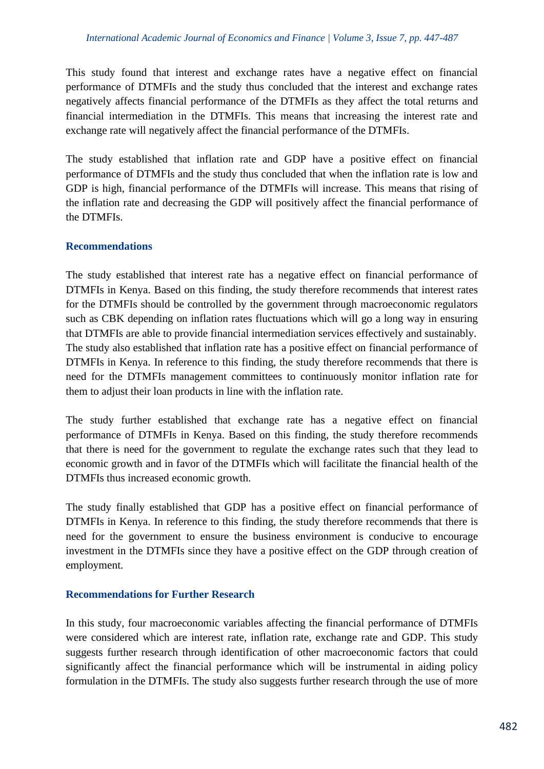This study found that interest and exchange rates have a negative effect on financial performance of DTMFIs and the study thus concluded that the interest and exchange rates negatively affects financial performance of the DTMFIs as they affect the total returns and financial intermediation in the DTMFIs. This means that increasing the interest rate and exchange rate will negatively affect the financial performance of the DTMFIs.

The study established that inflation rate and GDP have a positive effect on financial performance of DTMFIs and the study thus concluded that when the inflation rate is low and GDP is high, financial performance of the DTMFIs will increase. This means that rising of the inflation rate and decreasing the GDP will positively affect the financial performance of the DTMFIs.

## **Recommendations**

The study established that interest rate has a negative effect on financial performance of DTMFIs in Kenya. Based on this finding, the study therefore recommends that interest rates for the DTMFIs should be controlled by the government through macroeconomic regulators such as CBK depending on inflation rates fluctuations which will go a long way in ensuring that DTMFIs are able to provide financial intermediation services effectively and sustainably. The study also established that inflation rate has a positive effect on financial performance of DTMFIs in Kenya. In reference to this finding, the study therefore recommends that there is need for the DTMFIs management committees to continuously monitor inflation rate for them to adjust their loan products in line with the inflation rate.

The study further established that exchange rate has a negative effect on financial performance of DTMFIs in Kenya. Based on this finding, the study therefore recommends that there is need for the government to regulate the exchange rates such that they lead to economic growth and in favor of the DTMFIs which will facilitate the financial health of the DTMFIs thus increased economic growth.

The study finally established that GDP has a positive effect on financial performance of DTMFIs in Kenya. In reference to this finding, the study therefore recommends that there is need for the government to ensure the business environment is conducive to encourage investment in the DTMFIs since they have a positive effect on the GDP through creation of employment.

#### **Recommendations for Further Research**

In this study, four macroeconomic variables affecting the financial performance of DTMFIs were considered which are interest rate, inflation rate, exchange rate and GDP. This study suggests further research through identification of other macroeconomic factors that could significantly affect the financial performance which will be instrumental in aiding policy formulation in the DTMFIs. The study also suggests further research through the use of more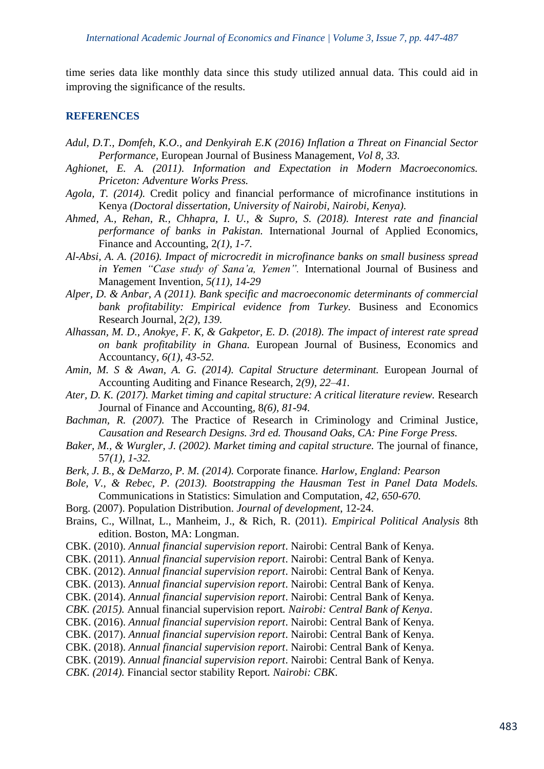time series data like monthly data since this study utilized annual data. This could aid in improving the significance of the results.

#### **REFERENCES**

- *Adul, D.T., Domfeh, K.O., and Denkyirah E.K (2016) Inflation a Threat on Financial Sector Performance,* European Journal of Business Management*, Vol 8, 33.*
- *Aghionet, E. A. (2011). Information and Expectation in Modern Macroeconomics. Priceton: Adventure Works Press.*
- *Agola, T. (2014).* Credit policy and financial performance of microfinance institutions in Kenya *(Doctoral dissertation, University of Nairobi, Nairobi, Kenya).*
- *Ahmed, A., Rehan, R., Chhapra, I. U., & Supro, S. (2018). Interest rate and financial performance of banks in Pakistan.* International Journal of Applied Economics, Finance and Accounting*,* 2*(1), 1-7.*
- *Al-Absi, A. A. (2016). Impact of microcredit in microfinance banks on small business spread in Yemen "Case study of Sana'a, Yemen".* International Journal of Business and Management Invention*, 5(11), 14-29*
- *Alper, D. & Anbar, A (2011). Bank specific and macroeconomic determinants of commercial bank profitability: Empirical evidence from Turkey. Business and Economics* Research Journal, 2*(2), 139.*
- *Alhassan, M. D., Anokye, F. K, & Gakpetor, E. D. (2018). The impact of interest rate spread on bank profitability in Ghana.* European Journal of Business, Economics and Accountancy*, 6(1), 43-52.*
- *Amin, M. S & Awan, A. G. (2014). Capital Structure determinant.* European Journal of Accounting Auditing and Finance Research, 2*(9), 22–41.*
- *Ater, D. K. (2017). Market timing and capital structure: A critical literature review.* Research Journal of Finance and Accounting*,* 8*(6), 81-94.*
- *Bachman, R. (2007).* The Practice of Research in Criminology and Criminal Justice*, Causation and Research Designs. 3rd ed. Thousand Oaks, CA: Pine Forge Press.*
- *Baker, M., & Wurgler, J. (2002). Market timing and capital structure. The journal of finance,* 57*(1), 1-32.*
- *Berk, J. B., & DeMarzo, P. M. (2014).* Corporate finance*. Harlow, England: Pearson*
- *Bole, V., & Rebec, P. (2013). Bootstrapping the Hausman Test in Panel Data Models.*  Communications in Statistics: Simulation and Computation*, 42, 650-670.*
- Borg. (2007). Population Distribution. *Journal of development*, 12-24.
- Brains, C., Willnat, L., Manheim, J., & Rich, R. (2011). *Empirical Political Analysis* 8th edition. Boston, MA: Longman.
- CBK. (2010). *Annual financial supervision report*. Nairobi: Central Bank of Kenya.
- CBK. (2011). *Annual financial supervision report*. Nairobi: Central Bank of Kenya.
- CBK. (2012). *Annual financial supervision report*. Nairobi: Central Bank of Kenya.
- CBK. (2013). *Annual financial supervision report*. Nairobi: Central Bank of Kenya.
- CBK. (2014). *Annual financial supervision report*. Nairobi: Central Bank of Kenya.
- *CBK. (2015).* Annual financial supervision report*. Nairobi: Central Bank of Kenya*.
- CBK. (2016). *Annual financial supervision report*. Nairobi: Central Bank of Kenya.
- CBK. (2017). *Annual financial supervision report*. Nairobi: Central Bank of Kenya.
- CBK. (2018). *Annual financial supervision report*. Nairobi: Central Bank of Kenya.
- CBK. (2019). *Annual financial supervision report*. Nairobi: Central Bank of Kenya.
- *CBK. (2014).* Financial sector stability Report*. Nairobi: CBK*.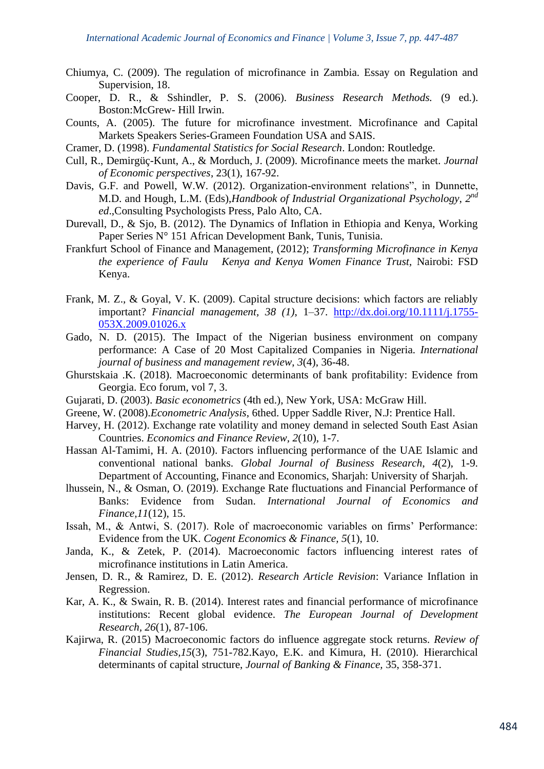- Chiumya, C. (2009). The regulation of microfinance in Zambia. Essay on Regulation and Supervision, 18.
- Cooper, D. R., & Sshindler, P. S. (2006). *Business Research Methods.* (9 ed.). Boston:McGrew- Hill Irwin.
- Counts, A. (2005). The future for microfinance investment. Microfinance and Capital Markets Speakers Series-Grameen Foundation USA and SAIS.
- Cramer, D. (1998). *Fundamental Statistics for Social Research*. London: Routledge.
- Cull, R., Demirgüç-Kunt, A., & Morduch, J. (2009). Microfinance meets the market. *Journal of Economic perspectives*, 23(1), 167-92.
- Davis, G.F. and Powell, W.W. (2012). Organization-environment relations", in Dunnette, M.D. and Hough, L.M. (Eds),*Handbook of Industrial Organizational Psychology*, *2 nd ed*.,Consulting Psychologists Press, Palo Alto, CA.
- Durevall, D., & Sjo, B. (2012). The Dynamics of Inflation in Ethiopia and Kenya, Working Paper Series N° 151 African Development Bank, Tunis, Tunisia.
- Frankfurt School of Finance and Management, (2012); *Transforming Microfinance in Kenya the experience of Faulu Kenya and Kenya Women Finance Trust,* Nairobi: FSD Kenya.
- Frank, M. Z., & Goyal, V. K. (2009). Capital structure decisions: which factors are reliably important? *Financial management, 38 (1)*, 1–37. [http://dx.doi.org/10.1111/j.1755-](http://dx.doi.org/10.1111/j.1755-053X.2009.01026.x) [053X.2009.01026.x](http://dx.doi.org/10.1111/j.1755-053X.2009.01026.x)
- Gado, N. D. (2015). The Impact of the Nigerian business environment on company performance: A Case of 20 Most Capitalized Companies in Nigeria. *International journal of business and management review*, *3*(4), 36-48.
- Ghurstskaia .K. (2018). Macroeconomic determinants of bank profitability: Evidence from Georgia. Eco forum, vol 7, 3.
- Gujarati, D. (2003). *Basic econometrics* (4th ed.), New York, USA: McGraw Hill.
- Greene, W. (2008).*Econometric Analysis*, 6thed. Upper Saddle River, N.J: Prentice Hall.
- Harvey, H. (2012). Exchange rate volatility and money demand in selected South East Asian Countries. *Economics and Finance Review, 2*(10), 1-7.
- Hassan Al-Tamimi, H. A. (2010). Factors influencing performance of the UAE Islamic and conventional national banks. *Global Journal of Business Research*, *4*(2), 1-9. Department of Accounting, Finance and Economics, Sharjah: University of Sharjah.
- lhussein, N., & Osman, O. (2019). Exchange Rate fluctuations and Financial Performance of Banks: Evidence from Sudan. *International Journal of Economics and Finance,11*(12), 15.
- Issah, M., & Antwi, S. (2017). Role of macroeconomic variables on firms' Performance: Evidence from the UK. *Cogent Economics & Finance, 5*(1), 10.
- Janda, K., & Zetek, P. (2014). Macroeconomic factors influencing interest rates of microfinance institutions in Latin America.
- Jensen, D. R., & Ramirez, D. E. (2012). *Research Article Revision*: Variance Inflation in Regression.
- Kar, A. K., & Swain, R. B. (2014). Interest rates and financial performance of microfinance institutions: Recent global evidence. *The European Journal of Development Research, 26*(1), 87-106.
- Kajirwa, R. (2015) Macroeconomic factors do influence aggregate stock returns. *Review of Financial Studies,15*(3), 751-782.Kayo, E.K. and Kimura, H. (2010). Hierarchical determinants of capital structure, *Journal of Banking & Finance,* 35, 358-371.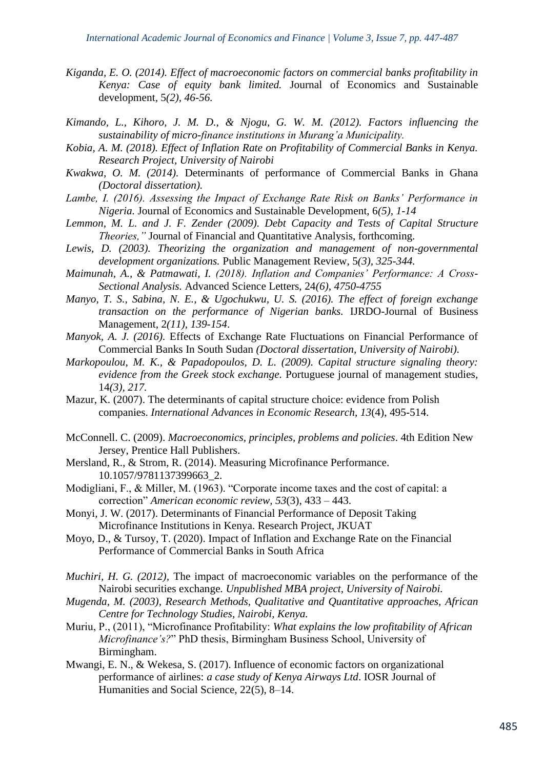- *Kiganda, E. O. (2014). Effect of macroeconomic factors on commercial banks profitability in Kenya: Case of equity bank limited.* Journal of Economics and Sustainable development*,* 5*(2), 46-56.*
- *Kimando, L., Kihoro, J. M. D., & Njogu, G. W. M. (2012). Factors influencing the sustainability of micro-finance institutions in Murang'a Municipality.*
- *Kobia, A. M. (2018). Effect of Inflation Rate on Profitability of Commercial Banks in Kenya. Research Project, University of Nairobi*
- *Kwakwa, O. M. (2014).* Determinants of performance of Commercial Banks in Ghana *(Doctoral dissertation).*
- *Lambe, I. (2016). Assessing the Impact of Exchange Rate Risk on Banks' Performance in Nigeria.* Journal of Economics and Sustainable Development, 6*(5), 1-14*
- *Lemmon, M. L. and J. F. Zender (2009). Debt Capacity and Tests of Capital Structure Theories,"* Journal of Financial and Quantitative Analysis, forthcoming*.*
- *Lewis, D. (2003). Theorizing the organization and management of non-governmental development organizations.* Public Management Review, 5*(3), 325-344.*
- *Maimunah, A., & Patmawati, I. (2018). Inflation and Companies' Performance: A Cross-Sectional Analysis.* Advanced Science Letters, 24*(6), 4750-4755*
- *Manyo, T. S., Sabina, N. E., & Ugochukwu, U. S. (2016). The effect of foreign exchange transaction on the performance of Nigerian banks.* IJRDO-Journal of Business Management*,* 2*(11), 139-154*.
- *Manyok, A. J. (2016).* Effects of Exchange Rate Fluctuations on Financial Performance of Commercial Banks In South Sudan *(Doctoral dissertation, University of Nairobi).*
- *Markopoulou, M. K., & Papadopoulos, D. L. (2009). Capital structure signaling theory: evidence from the Greek stock exchange.* Portuguese journal of management studies*,*  14*(3), 217.*
- Mazur, K. (2007). The determinants of capital structure choice: evidence from Polish companies. *International Advances in Economic Research*, *13*(4), 495-514.
- McConnell. C. (2009). *Macroeconomics, principles, problems and policies*. 4th Edition New Jersey, Prentice Hall Publishers.
- Mersland, R., & Strom, R. (2014). Measuring Microfinance Performance. 10.1057/9781137399663\_2.
- Modigliani, F., & Miller, M. (1963). "Corporate income taxes and the cost of capital: a correction" *American economic review, 53*(3), 433 – 443.
- Monyi, J. W. (2017). Determinants of Financial Performance of Deposit Taking Microfinance Institutions in Kenya. Research Project, JKUAT
- Moyo, D., & Tursoy, T. (2020). Impact of Inflation and Exchange Rate on the Financial Performance of Commercial Banks in South Africa
- *Muchiri, H. G. (2012),* The impact of macroeconomic variables on the performance of the Nairobi securities exchange*. Unpublished MBA project, University of Nairobi.*
- *Mugenda, M. (2003), Research Methods, Qualitative and Quantitative approaches, African Centre for Technology Studies, Nairobi, Kenya.*
- Muriu, P., (2011), "Microfinance Profitability: *What explains the low profitability of African Microfinance's?*" PhD thesis, Birmingham Business School, University of Birmingham.
- Mwangi, E. N., & Wekesa, S. (2017). Influence of economic factors on organizational performance of airlines: *a case study of Kenya Airways Ltd*. IOSR Journal of Humanities and Social Science, 22(5), 8–14.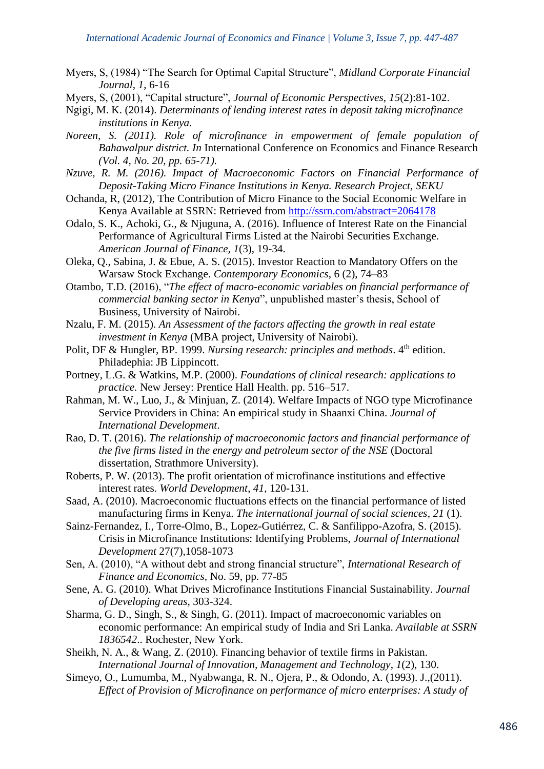- Myers, S, (1984) "The Search for Optimal Capital Structure", *Midland Corporate Financial Journal, 1*, 6-16
- Myers, S, (2001), "Capital structure", *Journal of Economic Perspectives*, *15*(2):81-102.
- Ngigi, M. K. (2014). *Determinants of lending interest rates in deposit taking microfinance institutions in Kenya.*
- *Noreen, S. (2011). Role of microfinance in empowerment of female population of Bahawalpur district. In* International Conference on Economics and Finance Research *(Vol. 4, No. 20, pp. 65-71).*
- *Nzuve, R. M. (2016). Impact of Macroeconomic Factors on Financial Performance of Deposit-Taking Micro Finance Institutions in Kenya. Research Project, SEKU*
- Ochanda, R, (2012), The Contribution of Micro Finance to the Social Economic Welfare in Kenya Available at SSRN: Retrieved from<http://ssrn.com/abstract=2064178>
- Odalo, S. K., Achoki, G., & Njuguna, A. (2016). Influence of Interest Rate on the Financial Performance of Agricultural Firms Listed at the Nairobi Securities Exchange. *American Journal of Finance, 1*(3), 19-34.
- Oleka, Q., Sabina, J. & Ebue, A. S. (2015). Investor Reaction to Mandatory Offers on the Warsaw Stock Exchange. *Contemporary Economics*, 6 (2), 74–83
- Otambo, T.D. (2016), "*The effect of macro-economic variables on financial performance of commercial banking sector in Kenya*", unpublished master's thesis, School of Business, University of Nairobi.
- Nzalu, F. M. (2015). *An Assessment of the factors affecting the growth in real estate investment in Kenya* (MBA project, University of Nairobi).
- Polit, DF & Hungler, BP. 1999. *Nursing research: principles and methods*. 4<sup>th</sup> edition. Philadephia: JB Lippincott.
- Portney, L.G. & Watkins, M.P. (2000). *Foundations of clinical research: applications to practice.* New Jersey: Prentice Hall Health. pp. 516–517.
- Rahman, M. W., Luo, J., & Minjuan, Z. (2014). Welfare Impacts of NGO type Microfinance Service Providers in China: An empirical study in Shaanxi China. *Journal of International Development*.
- Rao, D. T. (2016). *The relationship of macroeconomic factors and financial performance of the five firms listed in the energy and petroleum sector of the NSE* (Doctoral dissertation, Strathmore University).
- Roberts, P. W. (2013). The profit orientation of microfinance institutions and effective interest rates. *World Development*, *41*, 120-131.
- Saad, A. (2010). Macroeconomic fluctuations effects on the financial performance of listed manufacturing firms in Kenya. *The international journal of social sciences*, *21* (1).
- Sainz-Fernandez, I., Torre-Olmo, B., Lopez-Gutiérrez, C. & Sanfilippo-Azofra, S. (2015). Crisis in Microfinance Institutions: Identifying Problems, *Journal of International Development* 27(7),1058-1073
- Sen, A. (2010), "A without debt and strong financial structure", *International Research of Finance and Economics,* No. 59, pp. 77-85
- Sene, A. G. (2010). What Drives Microfinance Institutions Financial Sustainability. *Journal of Developing areas*, 303-324.
- Sharma, G. D., Singh, S., & Singh, G. (2011). Impact of macroeconomic variables on economic performance: An empirical study of India and Sri Lanka. *Available at SSRN 1836542*.. Rochester, New York.
- Sheikh, N. A., & Wang, Z. (2010). Financing behavior of textile firms in Pakistan. *International Journal of Innovation, Management and Technology*, *1*(2), 130.
- Simeyo, O., Lumumba, M., Nyabwanga, R. N., Ojera, P., & Odondo, A. (1993). J.,(2011). *Effect of Provision of Microfinance on performance of micro enterprises: A study of*